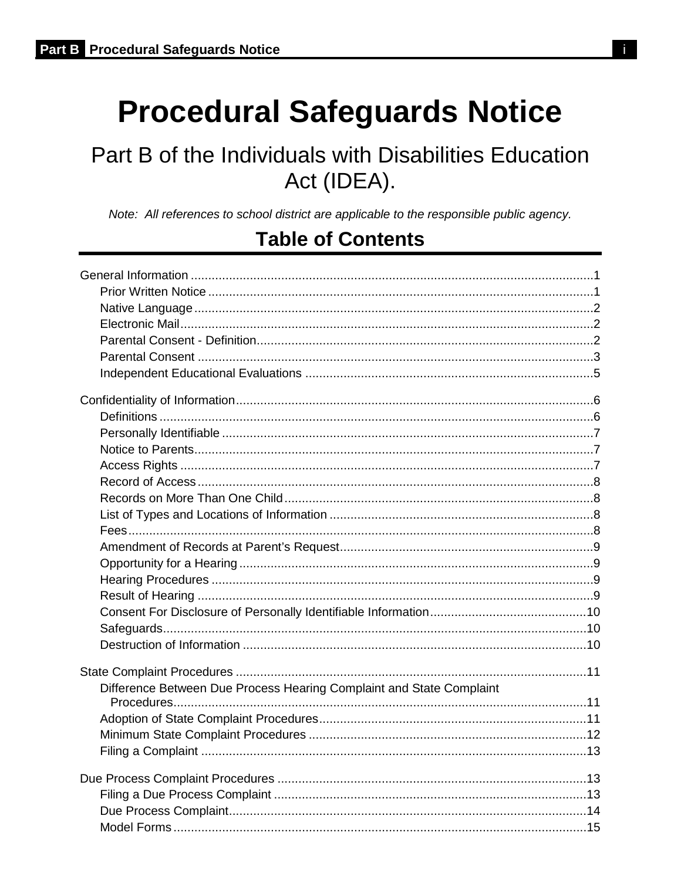# **Procedural Safeguards Notice**

# Part B of the Individuals with Disabilities Education Act (IDEA).

Note: All references to school district are applicable to the responsible public agency.

# **Table of Contents**

| Difference Between Due Process Hearing Complaint and State Complaint |  |
|----------------------------------------------------------------------|--|
|                                                                      |  |
|                                                                      |  |
|                                                                      |  |
|                                                                      |  |
|                                                                      |  |
|                                                                      |  |
|                                                                      |  |
|                                                                      |  |
|                                                                      |  |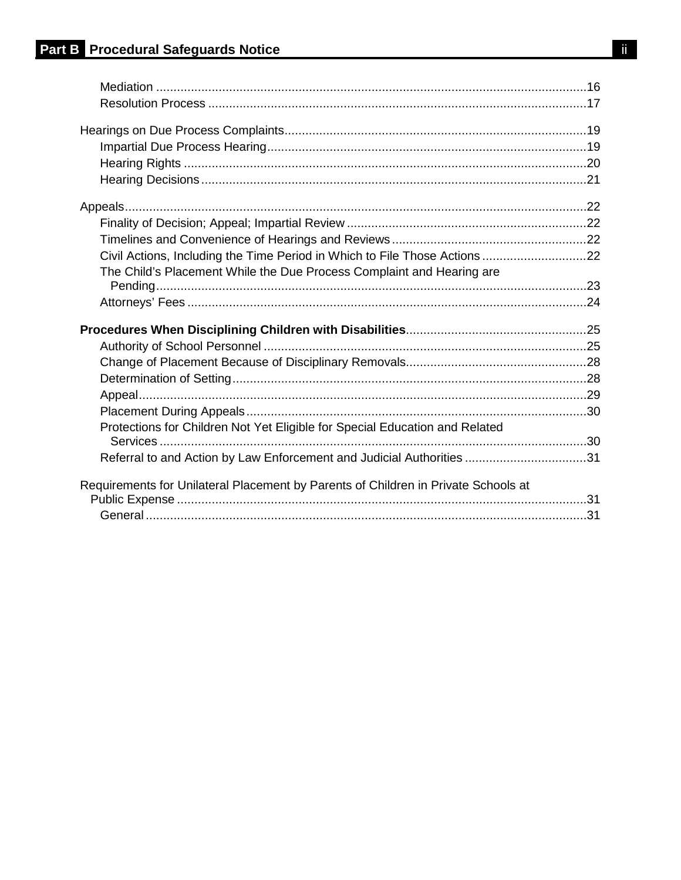| The Child's Placement While the Due Process Complaint and Hearing are              |  |
|------------------------------------------------------------------------------------|--|
|                                                                                    |  |
|                                                                                    |  |
|                                                                                    |  |
|                                                                                    |  |
|                                                                                    |  |
|                                                                                    |  |
|                                                                                    |  |
|                                                                                    |  |
| Protections for Children Not Yet Eligible for Special Education and Related        |  |
| Services.                                                                          |  |
| Referral to and Action by Law Enforcement and Judicial Authorities 31              |  |
| Requirements for Unilateral Placement by Parents of Children in Private Schools at |  |
|                                                                                    |  |
|                                                                                    |  |
|                                                                                    |  |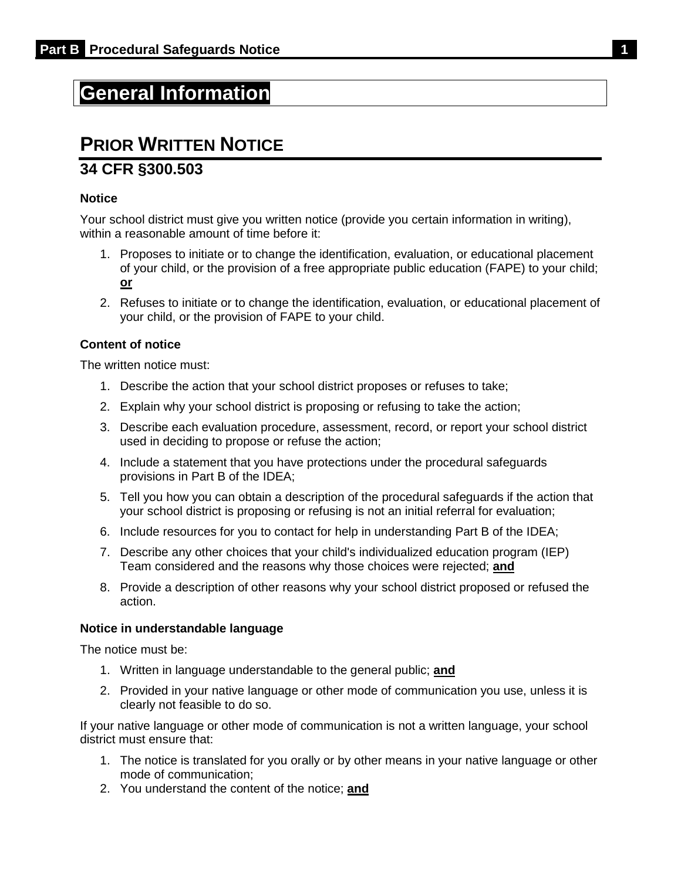# <span id="page-2-1"></span><span id="page-2-0"></span>**General Information**

# **PRIOR WRITTEN NOTICE**

## **34 CFR §300.503**

#### **Notice**

Your school district must give you written notice (provide you certain information in writing), within a reasonable amount of time before it:

- 1. Proposes to initiate or to change the identification, evaluation, or educational placement of your child, or the provision of a free appropriate public education (FAPE) to your child; **or**
- 2. Refuses to initiate or to change the identification, evaluation, or educational placement of your child, or the provision of FAPE to your child.

#### **Content of notice**

The written notice must:

- 1. Describe the action that your school district proposes or refuses to take;
- 2. Explain why your school district is proposing or refusing to take the action;
- 3. Describe each evaluation procedure, assessment, record, or report your school district used in deciding to propose or refuse the action;
- 4. Include a statement that you have protections under the procedural safeguards provisions in Part B of the IDEA;
- 5. Tell you how you can obtain a description of the procedural safeguards if the action that your school district is proposing or refusing is not an initial referral for evaluation;
- 6. Include resources for you to contact for help in understanding Part B of the IDEA;
- 7. Describe any other choices that your child's individualized education program (IEP) Team considered and the reasons why those choices were rejected; **and**
- 8. Provide a description of other reasons why your school district proposed or refused the action.

#### **Notice in understandable language**

The notice must be:

- 1. Written in language understandable to the general public; **and**
- 2. Provided in your native language or other mode of communication you use, unless it is clearly not feasible to do so.

If your native language or other mode of communication is not a written language, your school district must ensure that:

- 1. The notice is translated for you orally or by other means in your native language or other mode of communication;
- 2. You understand the content of the notice; **and**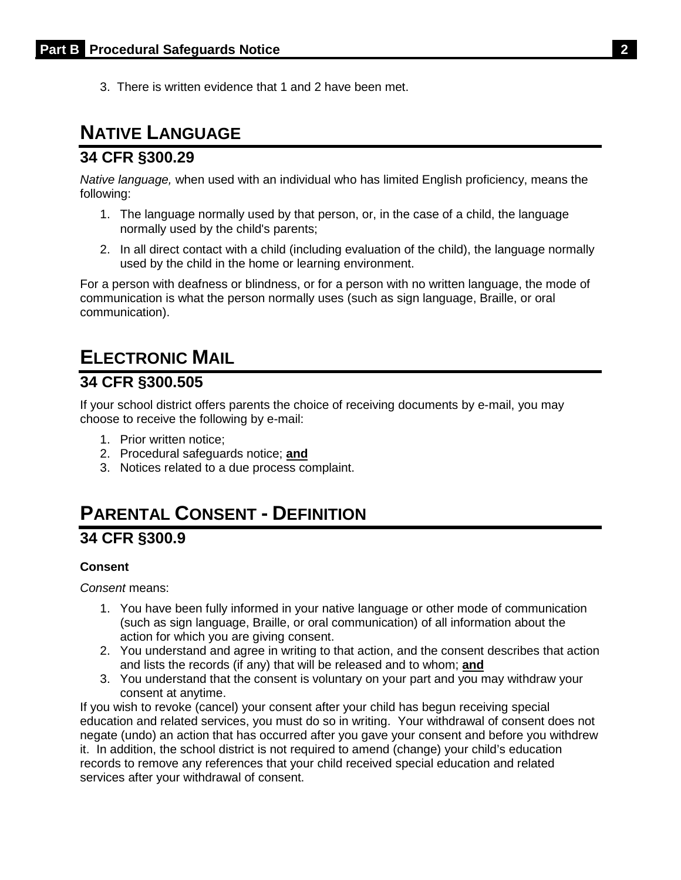<span id="page-3-0"></span>3. There is written evidence that 1 and 2 have been met.

# **NATIVE LANGUAGE**

## **34 CFR §300.29**

*Native language,* when used with an individual who has limited English proficiency, means the following:

- 1. The language normally used by that person, or, in the case of a child, the language normally used by the child's parents;
- 2. In all direct contact with a child (including evaluation of the child), the language normally used by the child in the home or learning environment.

For a person with deafness or blindness, or for a person with no written language, the mode of communication is what the person normally uses (such as sign language, Braille, or oral communication).

# <span id="page-3-1"></span>**ELECTRONIC MAIL**

## **34 CFR §300.505**

If your school district offers parents the choice of receiving documents by e-mail, you may choose to receive the following by e-mail:

- 1. Prior written notice;
- 2. Procedural safeguards notice; **and**
- <span id="page-3-2"></span>3. Notices related to a due process complaint.

# **PARENTAL CONSENT - DEFINITION**

# **34 CFR §300.9**

#### **Consent**

*Consent* means:

- 1. You have been fully informed in your native language or other mode of communication (such as sign language, Braille, or oral communication) of all information about the action for which you are giving consent.
- 2. You understand and agree in writing to that action, and the consent describes that action and lists the records (if any) that will be released and to whom; **and**
- 3. You understand that the consent is voluntary on your part and you may withdraw your consent at anytime.

If you wish to revoke (cancel) your consent after your child has begun receiving special education and related services, you must do so in writing.Your withdrawal of consent does not negate (undo) an action that has occurred after you gave your consent and before you withdrew it. In addition, the school district is not required to amend (change) your child's education records to remove any references that your child received special education and related services after your withdrawal of consent.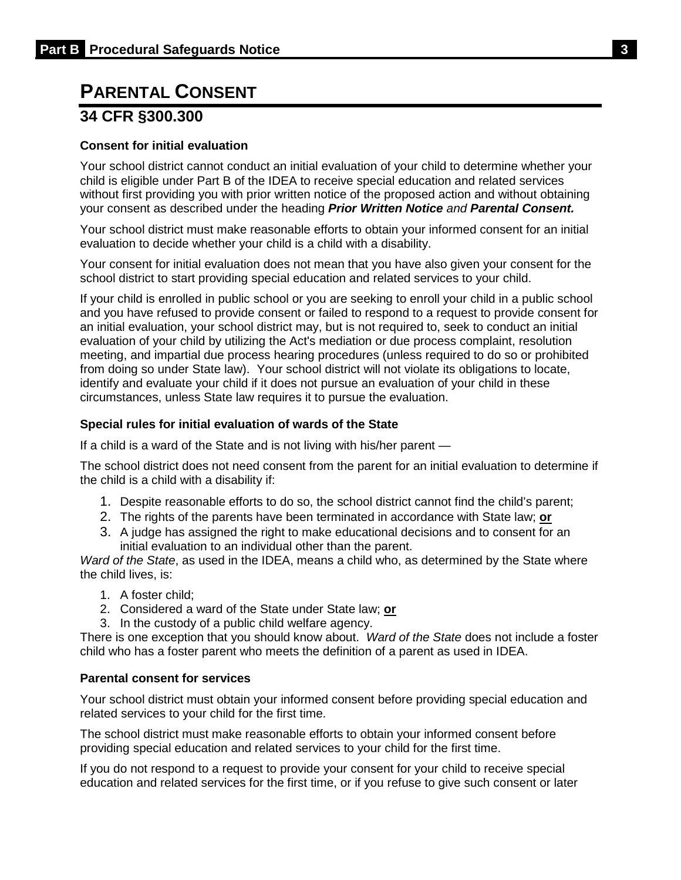# <span id="page-4-0"></span>**PARENTAL CONSENT**

## **34 CFR §300.300**

## **Consent for initial evaluation**

Your school district cannot conduct an initial evaluation of your child to determine whether your child is eligible under Part B of the IDEA to receive special education and related services without first providing you with prior written notice of the proposed action and without obtaining your consent as described under the heading *Prior Written Notice and Parental Consent.*

Your school district must make reasonable efforts to obtain your informed consent for an initial evaluation to decide whether your child is a child with a disability.

Your consent for initial evaluation does not mean that you have also given your consent for the school district to start providing special education and related services to your child.

If your child is enrolled in public school or you are seeking to enroll your child in a public school and you have refused to provide consent or failed to respond to a request to provide consent for an initial evaluation, your school district may, but is not required to, seek to conduct an initial evaluation of your child by utilizing the Act's mediation or due process complaint, resolution meeting, and impartial due process hearing procedures (unless required to do so or prohibited from doing so under State law). Your school district will not violate its obligations to locate, identify and evaluate your child if it does not pursue an evaluation of your child in these circumstances, unless State law requires it to pursue the evaluation.

#### **Special rules for initial evaluation of wards of the State**

If a child is a ward of the State and is not living with his/her parent —

The school district does not need consent from the parent for an initial evaluation to determine if the child is a child with a disability if:

- 1. Despite reasonable efforts to do so, the school district cannot find the child's parent;
- 2. The rights of the parents have been terminated in accordance with State law; **or**
- 3. A judge has assigned the right to make educational decisions and to consent for an initial evaluation to an individual other than the parent.

*Ward of the State*, as used in the IDEA, means a child who, as determined by the State where the child lives, is:

- 1. A foster child;
- 2. Considered a ward of the State under State law; **or**
- 3. In the custody of a public child welfare agency.

There is one exception that you should know about. *Ward of the State* does not include a foster child who has a foster parent who meets the definition of a parent as used in IDEA.

#### **Parental consent for services**

Your school district must obtain your informed consent before providing special education and related services to your child for the first time.

The school district must make reasonable efforts to obtain your informed consent before providing special education and related services to your child for the first time.

If you do not respond to a request to provide your consent for your child to receive special education and related services for the first time, or if you refuse to give such consent or later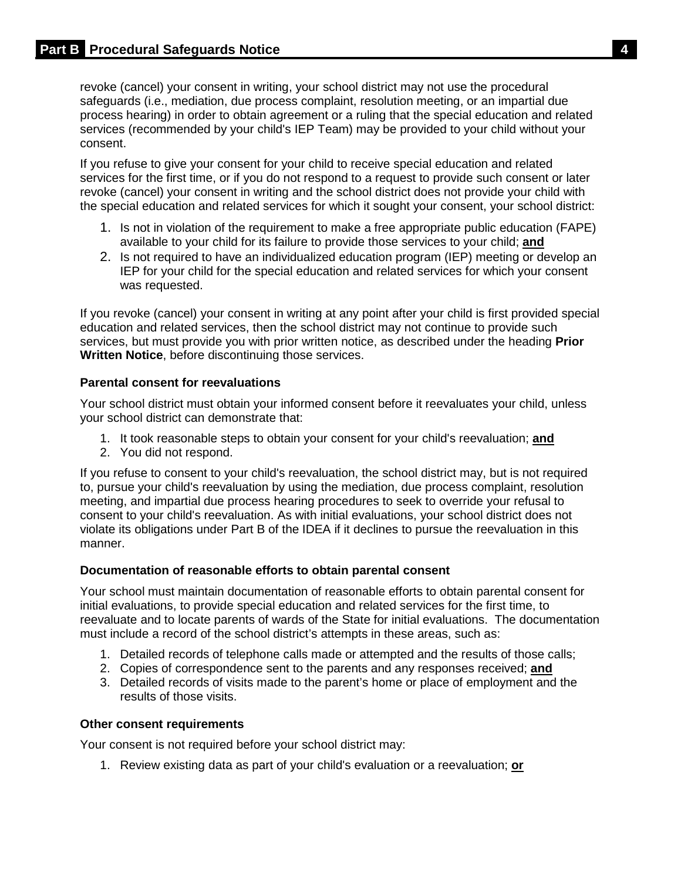revoke (cancel) your consent in writing, your school district may not use the procedural safeguards (i.e., mediation, due process complaint, resolution meeting, or an impartial due process hearing) in order to obtain agreement or a ruling that the special education and related services (recommended by your child's IEP Team) may be provided to your child without your consent.

If you refuse to give your consent for your child to receive special education and related services for the first time, or if you do not respond to a request to provide such consent or later revoke (cancel) your consent in writing and the school district does not provide your child with the special education and related services for which it sought your consent, your school district:

- 1. Is not in violation of the requirement to make a free appropriate public education (FAPE) available to your child for its failure to provide those services to your child; **and**
- 2. Is not required to have an individualized education program (IEP) meeting or develop an IEP for your child for the special education and related services for which your consent was requested.

If you revoke (cancel) your consent in writing at any point after your child is first provided special education and related services, then the school district may not continue to provide such services, but must provide you with prior written notice, as described under the heading **Prior Written Notice**, before discontinuing those services.

#### **Parental consent for reevaluations**

Your school district must obtain your informed consent before it reevaluates your child, unless your school district can demonstrate that:

- 1. It took reasonable steps to obtain your consent for your child's reevaluation; **and**
- 2. You did not respond.

If you refuse to consent to your child's reevaluation, the school district may, but is not required to, pursue your child's reevaluation by using the mediation, due process complaint, resolution meeting, and impartial due process hearing procedures to seek to override your refusal to consent to your child's reevaluation. As with initial evaluations, your school district does not violate its obligations under Part B of the IDEA if it declines to pursue the reevaluation in this manner.

#### **Documentation of reasonable efforts to obtain parental consent**

Your school must maintain documentation of reasonable efforts to obtain parental consent for initial evaluations, to provide special education and related services for the first time, to reevaluate and to locate parents of wards of the State for initial evaluations. The documentation must include a record of the school district's attempts in these areas, such as:

- 1. Detailed records of telephone calls made or attempted and the results of those calls;
- 2. Copies of correspondence sent to the parents and any responses received; **and**
- 3. Detailed records of visits made to the parent's home or place of employment and the results of those visits.

## **Other consent requirements**

Your consent is not required before your school district may:

1. Review existing data as part of your child's evaluation or a reevaluation; **or**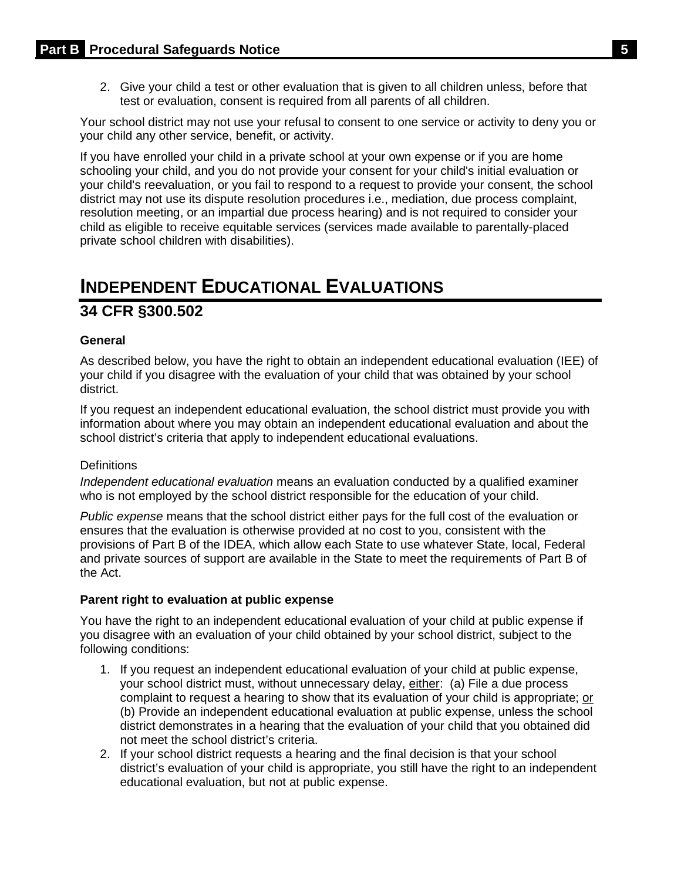2. Give your child a test or other evaluation that is given to all children unless, before that test or evaluation, consent is required from all parents of all children.

Your school district may not use your refusal to consent to one service or activity to deny you or your child any other service, benefit, or activity.

If you have enrolled your child in a private school at your own expense or if you are home schooling your child, and you do not provide your consent for your child's initial evaluation or your child's reevaluation, or you fail to respond to a request to provide your consent, the school district may not use its dispute resolution procedures i.e., mediation, due process complaint, resolution meeting, or an impartial due process hearing) and is not required to consider your child as eligible to receive equitable services (services made available to parentally-placed private school children with disabilities).

# <span id="page-6-0"></span>**INDEPENDENT EDUCATIONAL EVALUATIONS**

## **34 CFR §300.502**

## **General**

As described below, you have the right to obtain an independent educational evaluation (IEE) of your child if you disagree with the evaluation of your child that was obtained by your school district.

If you request an independent educational evaluation, the school district must provide you with information about where you may obtain an independent educational evaluation and about the school district's criteria that apply to independent educational evaluations.

#### **Definitions**

*Independent educational evaluation* means an evaluation conducted by a qualified examiner who is not employed by the school district responsible for the education of your child.

*Public expense* means that the school district either pays for the full cost of the evaluation or ensures that the evaluation is otherwise provided at no cost to you, consistent with the provisions of Part B of the IDEA, which allow each State to use whatever State, local, Federal and private sources of support are available in the State to meet the requirements of Part B of the Act.

#### **Parent right to evaluation at public expense**

You have the right to an independent educational evaluation of your child at public expense if you disagree with an evaluation of your child obtained by your school district, subject to the following conditions:

- 1. If you request an independent educational evaluation of your child at public expense, your school district must, without unnecessary delay, either: (a) File a due process complaint to request a hearing to show that its evaluation of your child is appropriate; or (b) Provide an independent educational evaluation at public expense, unless the school district demonstrates in a hearing that the evaluation of your child that you obtained did not meet the school district's criteria.
- 2. If your school district requests a hearing and the final decision is that your school district's evaluation of your child is appropriate, you still have the right to an independent educational evaluation, but not at public expense.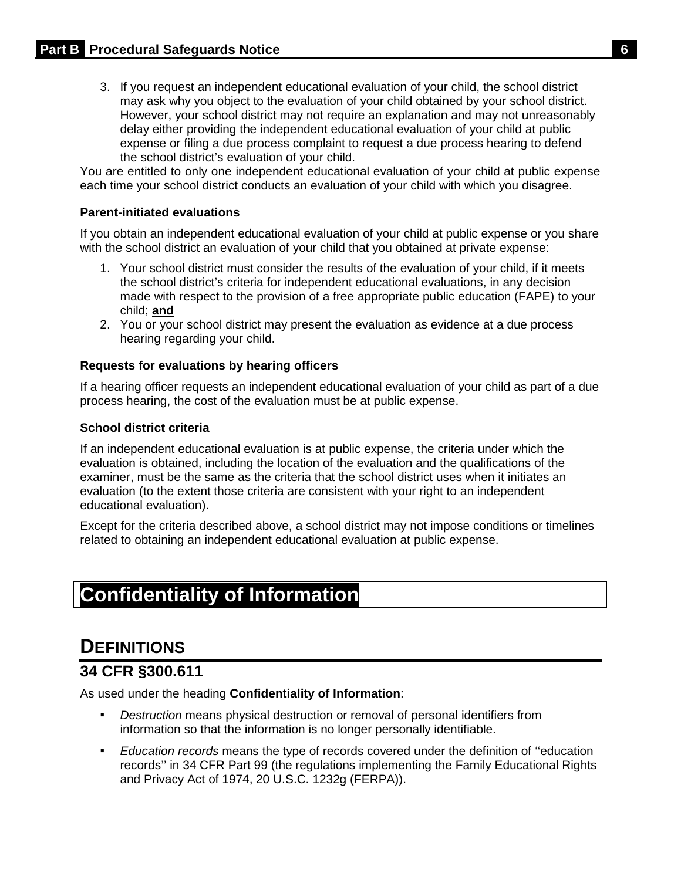3. If you request an independent educational evaluation of your child, the school district may ask why you object to the evaluation of your child obtained by your school district. However, your school district may not require an explanation and may not unreasonably delay either providing the independent educational evaluation of your child at public expense or filing a due process complaint to request a due process hearing to defend the school district's evaluation of your child.

You are entitled to only one independent educational evaluation of your child at public expense each time your school district conducts an evaluation of your child with which you disagree.

## **Parent-initiated evaluations**

If you obtain an independent educational evaluation of your child at public expense or you share with the school district an evaluation of your child that you obtained at private expense:

- 1. Your school district must consider the results of the evaluation of your child, if it meets the school district's criteria for independent educational evaluations, in any decision made with respect to the provision of a free appropriate public education (FAPE) to your child; **and**
- 2. You or your school district may present the evaluation as evidence at a due process hearing regarding your child.

## **Requests for evaluations by hearing officers**

If a hearing officer requests an independent educational evaluation of your child as part of a due process hearing, the cost of the evaluation must be at public expense.

## **School district criteria**

If an independent educational evaluation is at public expense, the criteria under which the evaluation is obtained, including the location of the evaluation and the qualifications of the examiner, must be the same as the criteria that the school district uses when it initiates an evaluation (to the extent those criteria are consistent with your right to an independent educational evaluation).

Except for the criteria described above, a school district may not impose conditions or timelines related to obtaining an independent educational evaluation at public expense.

# <span id="page-7-1"></span><span id="page-7-0"></span>**Confidentiality of Information**

# **DEFINITIONS**

## **34 CFR §300.611**

As used under the heading **Confidentiality of Information**:

- *Destruction* means physical destruction or removal of personal identifiers from information so that the information is no longer personally identifiable.
- *Education records* means the type of records covered under the definition of ''education records'' in 34 CFR Part 99 (the regulations implementing the Family Educational Rights and Privacy Act of 1974, 20 U.S.C. 1232g (FERPA)).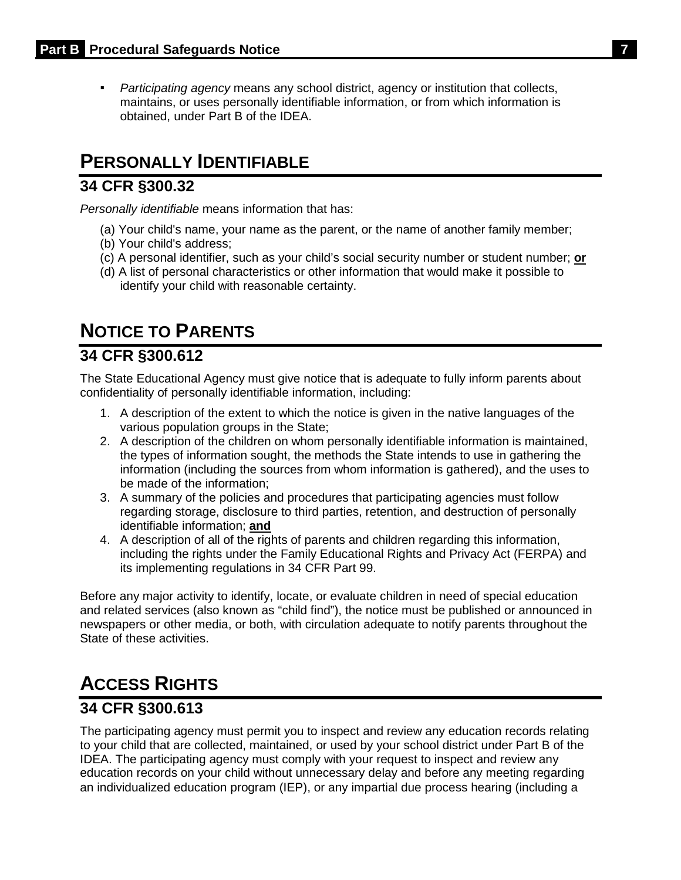*Participating agency* means any school district, agency or institution that collects, maintains, or uses personally identifiable information, or from which information is obtained, under Part B of the IDEA.

# <span id="page-8-0"></span>**PERSONALLY IDENTIFIABLE**

## **34 CFR §300.32**

*Personally identifiable* means information that has:

- (a) Your child's name, your name as the parent, or the name of another family member;
- (b) Your child's address;
- (c) A personal identifier, such as your child's social security number or student number; **or**
- (d) A list of personal characteristics or other information that would make it possible to identify your child with reasonable certainty.

# <span id="page-8-1"></span>**NOTICE TO PARENTS**

## **34 CFR §300.612**

The State Educational Agency must give notice that is adequate to fully inform parents about confidentiality of personally identifiable information, including:

- 1. A description of the extent to which the notice is given in the native languages of the various population groups in the State;
- 2. A description of the children on whom personally identifiable information is maintained, the types of information sought, the methods the State intends to use in gathering the information (including the sources from whom information is gathered), and the uses to be made of the information;
- 3. A summary of the policies and procedures that participating agencies must follow regarding storage, disclosure to third parties, retention, and destruction of personally identifiable information; **and**
- 4. A description of all of the rights of parents and children regarding this information, including the rights under the Family Educational Rights and Privacy Act (FERPA) and its implementing regulations in 34 CFR Part 99.

Before any major activity to identify, locate, or evaluate children in need of special education and related services (also known as "child find"), the notice must be published or announced in newspapers or other media, or both, with circulation adequate to notify parents throughout the State of these activities.

# <span id="page-8-2"></span>**ACCESS RIGHTS**

## **34 CFR §300.613**

The participating agency must permit you to inspect and review any education records relating to your child that are collected, maintained, or used by your school district under Part B of the IDEA. The participating agency must comply with your request to inspect and review any education records on your child without unnecessary delay and before any meeting regarding an individualized education program (IEP), or any impartial due process hearing (including a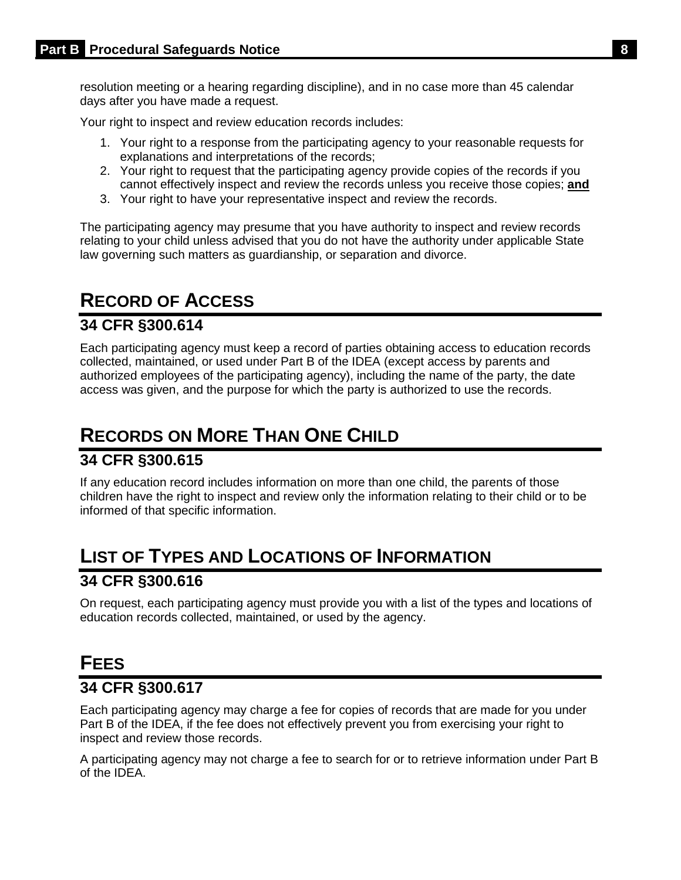resolution meeting or a hearing regarding discipline), and in no case more than 45 calendar days after you have made a request.

Your right to inspect and review education records includes:

- 1. Your right to a response from the participating agency to your reasonable requests for explanations and interpretations of the records;
- 2. Your right to request that the participating agency provide copies of the records if you cannot effectively inspect and review the records unless you receive those copies; **and**
- 3. Your right to have your representative inspect and review the records.

The participating agency may presume that you have authority to inspect and review records relating to your child unless advised that you do not have the authority under applicable State law governing such matters as guardianship, or separation and divorce.

# <span id="page-9-0"></span>**RECORD OF ACCESS**

## **34 CFR §300.614**

Each participating agency must keep a record of parties obtaining access to education records collected, maintained, or used under Part B of the IDEA (except access by parents and authorized employees of the participating agency), including the name of the party, the date access was given, and the purpose for which the party is authorized to use the records.

# <span id="page-9-1"></span>**RECORDS ON MORE THAN ONE CHILD**

## **34 CFR §300.615**

If any education record includes information on more than one child, the parents of those children have the right to inspect and review only the information relating to their child or to be informed of that specific information.

# <span id="page-9-2"></span>**LIST OF TYPES AND LOCATIONS OF INFORMATION**

## **34 CFR §300.616**

On request, each participating agency must provide you with a list of the types and locations of education records collected, maintained, or used by the agency.

# <span id="page-9-3"></span>**FEES**

## **34 CFR §300.617**

Each participating agency may charge a fee for copies of records that are made for you under Part B of the IDEA, if the fee does not effectively prevent you from exercising your right to inspect and review those records.

A participating agency may not charge a fee to search for or to retrieve information under Part B of the IDEA.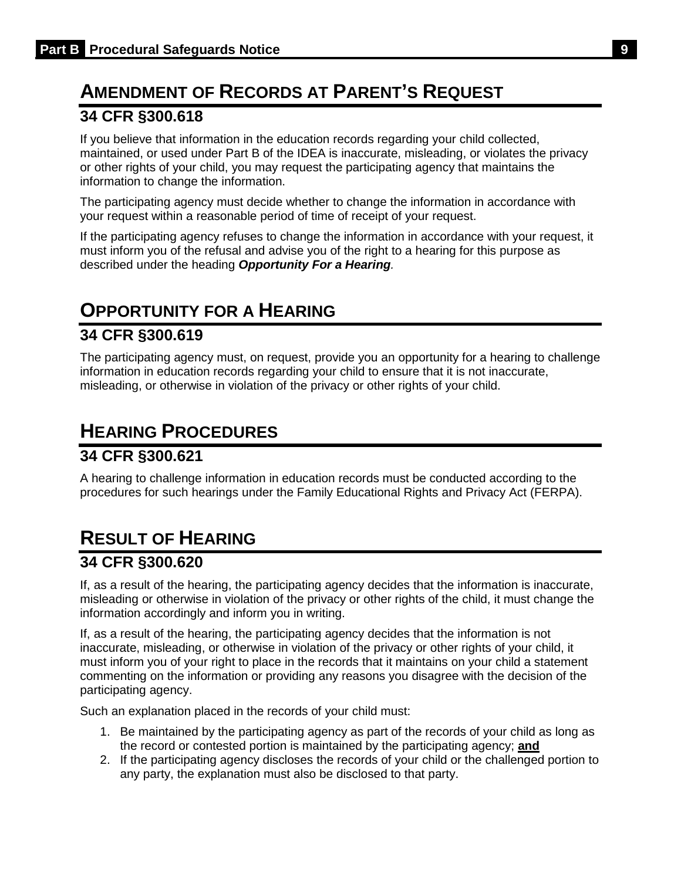# <span id="page-10-0"></span>**AMENDMENT OF RECORDS AT PARENT'S REQUEST 34 CFR §300.618**

If you believe that information in the education records regarding your child collected, maintained, or used under Part B of the IDEA is inaccurate, misleading, or violates the privacy or other rights of your child, you may request the participating agency that maintains the information to change the information.

The participating agency must decide whether to change the information in accordance with your request within a reasonable period of time of receipt of your request.

If the participating agency refuses to change the information in accordance with your request, it must inform you of the refusal and advise you of the right to a hearing for this purpose as described under the heading *Opportunity For a Hearing.* 

# <span id="page-10-1"></span>**OPPORTUNITY FOR A HEARING**

## **34 CFR §300.619**

The participating agency must, on request, provide you an opportunity for a hearing to challenge information in education records regarding your child to ensure that it is not inaccurate, misleading, or otherwise in violation of the privacy or other rights of your child.

# <span id="page-10-2"></span>**HEARING PROCEDURES**

## **34 CFR §300.621**

A hearing to challenge information in education records must be conducted according to the procedures for such hearings under the Family Educational Rights and Privacy Act (FERPA).

# <span id="page-10-3"></span>**RESULT OF HEARING**

## **34 CFR §300.620**

If, as a result of the hearing, the participating agency decides that the information is inaccurate, misleading or otherwise in violation of the privacy or other rights of the child, it must change the information accordingly and inform you in writing.

If, as a result of the hearing, the participating agency decides that the information is not inaccurate, misleading, or otherwise in violation of the privacy or other rights of your child, it must inform you of your right to place in the records that it maintains on your child a statement commenting on the information or providing any reasons you disagree with the decision of the participating agency.

Such an explanation placed in the records of your child must:

- 1. Be maintained by the participating agency as part of the records of your child as long as the record or contested portion is maintained by the participating agency; **and**
- 2. If the participating agency discloses the records of your child or the challenged portion to any party, the explanation must also be disclosed to that party.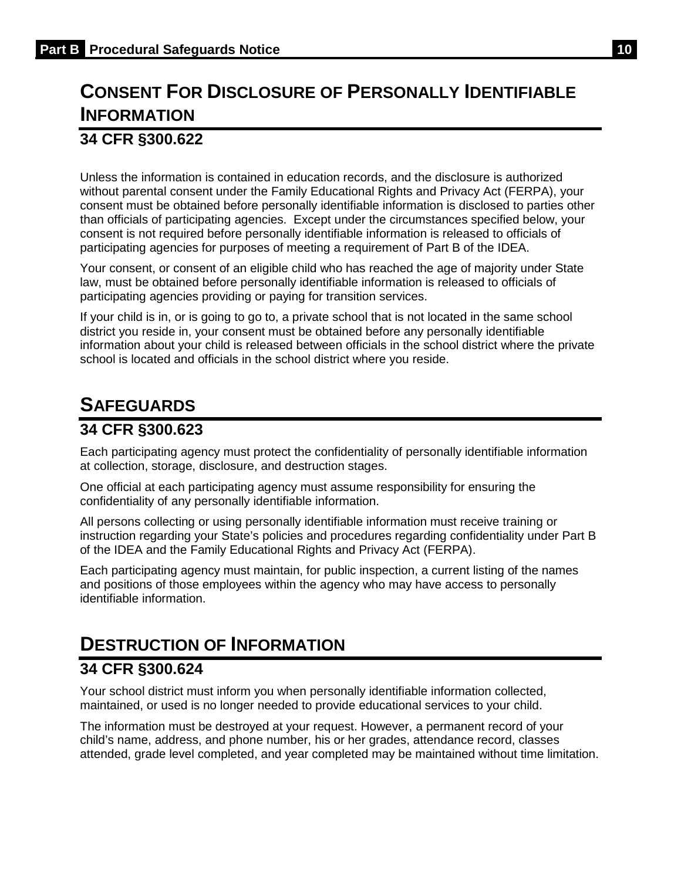# <span id="page-11-0"></span>**CONSENT FOR DISCLOSURE OF PERSONALLY IDENTIFIABLE INFORMATION**

## **34 CFR §300.622**

Unless the information is contained in education records, and the disclosure is authorized without parental consent under the Family Educational Rights and Privacy Act (FERPA), your consent must be obtained before personally identifiable information is disclosed to parties other than officials of participating agencies. Except under the circumstances specified below, your consent is not required before personally identifiable information is released to officials of participating agencies for purposes of meeting a requirement of Part B of the IDEA.

Your consent, or consent of an eligible child who has reached the age of majority under State law, must be obtained before personally identifiable information is released to officials of participating agencies providing or paying for transition services.

If your child is in, or is going to go to, a private school that is not located in the same school district you reside in, your consent must be obtained before any personally identifiable information about your child is released between officials in the school district where the private school is located and officials in the school district where you reside.

# <span id="page-11-1"></span>**SAFEGUARDS**

## **34 CFR §300.623**

Each participating agency must protect the confidentiality of personally identifiable information at collection, storage, disclosure, and destruction stages.

One official at each participating agency must assume responsibility for ensuring the confidentiality of any personally identifiable information.

All persons collecting or using personally identifiable information must receive training or instruction regarding your State's policies and procedures regarding confidentiality under Part B of the IDEA and the Family Educational Rights and Privacy Act (FERPA).

Each participating agency must maintain, for public inspection, a current listing of the names and positions of those employees within the agency who may have access to personally identifiable information.

# <span id="page-11-2"></span>**DESTRUCTION OF INFORMATION**

## **34 CFR §300.624**

Your school district must inform you when personally identifiable information collected, maintained, or used is no longer needed to provide educational services to your child.

The information must be destroyed at your request. However, a permanent record of your child's name, address, and phone number, his or her grades, attendance record, classes attended, grade level completed, and year completed may be maintained without time limitation.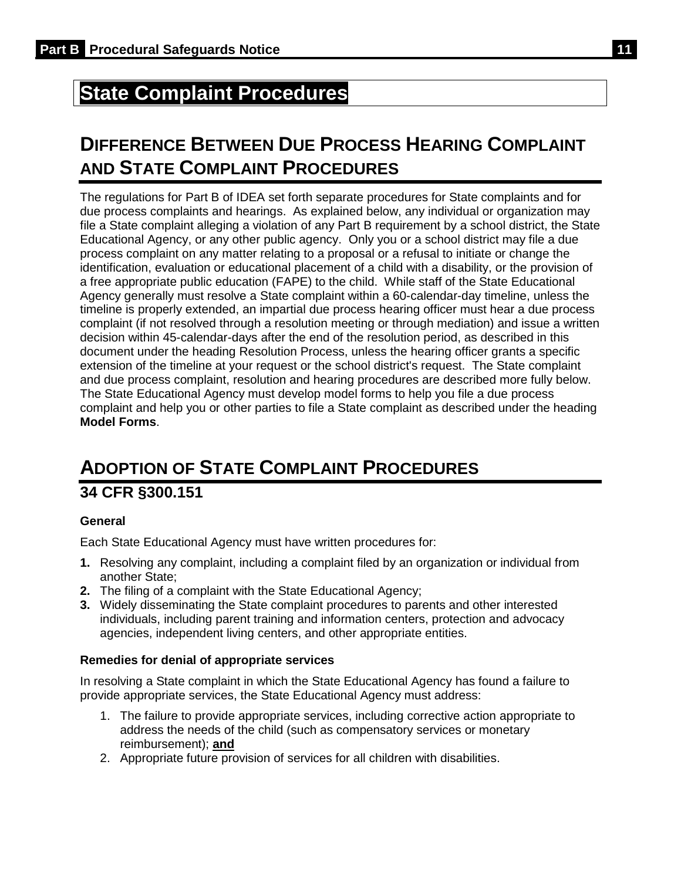# <span id="page-12-1"></span><span id="page-12-0"></span>**State Complaint Procedures**

# **DIFFERENCE BETWEEN DUE PROCESS HEARING COMPLAINT AND STATE COMPLAINT PROCEDURES**

The regulations for Part B of IDEA set forth separate procedures for State complaints and for due process complaints and hearings. As explained below, any individual or organization may file a State complaint alleging a violation of any Part B requirement by a school district, the State Educational Agency, or any other public agency. Only you or a school district may file a due process complaint on any matter relating to a proposal or a refusal to initiate or change the identification, evaluation or educational placement of a child with a disability, or the provision of a free appropriate public education (FAPE) to the child. While staff of the State Educational Agency generally must resolve a State complaint within a 60-calendar-day timeline, unless the timeline is properly extended, an impartial due process hearing officer must hear a due process complaint (if not resolved through a resolution meeting or through mediation) and issue a written decision within 45-calendar-days after the end of the resolution period, as described in this document under the heading Resolution Process, unless the hearing officer grants a specific extension of the timeline at your request or the school district's request. The State complaint and due process complaint, resolution and hearing procedures are described more fully below. The State Educational Agency must develop model forms to help you file a due process complaint and help you or other parties to file a State complaint as described under the heading **Model Forms**.

# <span id="page-12-2"></span>**ADOPTION OF STATE COMPLAINT PROCEDURES**

## **34 CFR §300.151**

## **General**

Each State Educational Agency must have written procedures for:

- **1.** Resolving any complaint, including a complaint filed by an organization or individual from another State;
- **2.** The filing of a complaint with the State Educational Agency;
- **3.** Widely disseminating the State complaint procedures to parents and other interested individuals, including parent training and information centers, protection and advocacy agencies, independent living centers, and other appropriate entities.

## **Remedies for denial of appropriate services**

In resolving a State complaint in which the State Educational Agency has found a failure to provide appropriate services, the State Educational Agency must address:

- 1. The failure to provide appropriate services, including corrective action appropriate to address the needs of the child (such as compensatory services or monetary reimbursement); **and**
- 2. Appropriate future provision of services for all children with disabilities.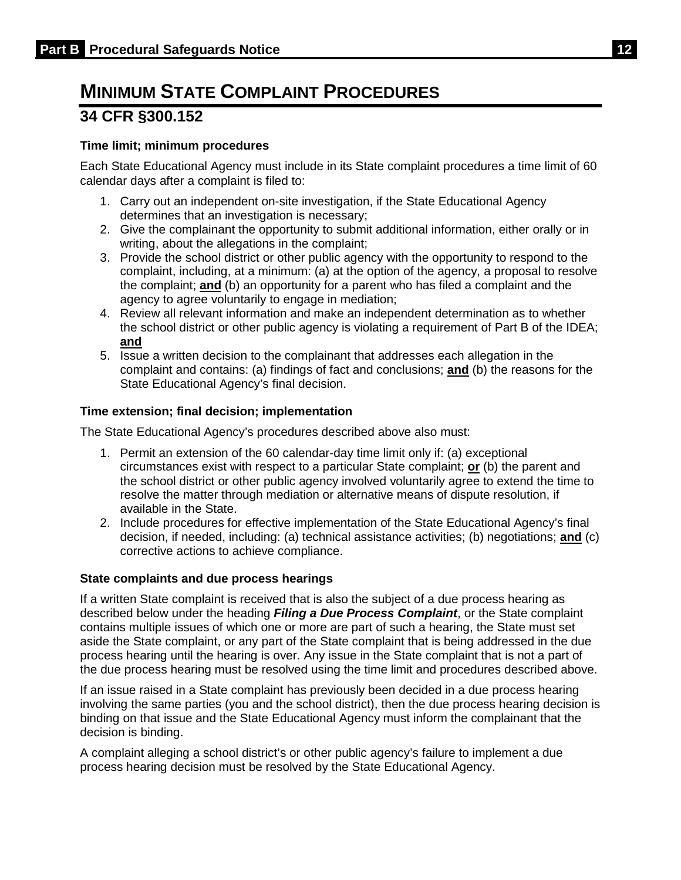# <span id="page-13-0"></span>**MINIMUM STATE COMPLAINT PROCEDURES**

## **34 CFR §300.152**

## **Time limit; minimum procedures**

Each State Educational Agency must include in its State complaint procedures a time limit of 60 calendar days after a complaint is filed to:

- 1. Carry out an independent on-site investigation, if the State Educational Agency determines that an investigation is necessary;
- 2. Give the complainant the opportunity to submit additional information, either orally or in writing, about the allegations in the complaint;
- 3. Provide the school district or other public agency with the opportunity to respond to the complaint, including, at a minimum: (a) at the option of the agency, a proposal to resolve the complaint; **and** (b) an opportunity for a parent who has filed a complaint and the agency to agree voluntarily to engage in mediation;
- 4. Review all relevant information and make an independent determination as to whether the school district or other public agency is violating a requirement of Part B of the IDEA; **and**
- 5. Issue a written decision to the complainant that addresses each allegation in the complaint and contains: (a) findings of fact and conclusions; **and** (b) the reasons for the State Educational Agency's final decision.

## **Time extension; final decision; implementation**

The State Educational Agency's procedures described above also must:

- 1. Permit an extension of the 60 calendar-day time limit only if: (a) exceptional circumstances exist with respect to a particular State complaint; **or** (b) the parent and the school district or other public agency involved voluntarily agree to extend the time to resolve the matter through mediation or alternative means of dispute resolution, if available in the State.
- 2. Include procedures for effective implementation of the State Educational Agency's final decision, if needed, including: (a) technical assistance activities; (b) negotiations; **and** (c) corrective actions to achieve compliance.

## **State complaints and due process hearings**

If a written State complaint is received that is also the subject of a due process hearing as described below under the heading *Filing a Due Process Complaint*, or the State complaint contains multiple issues of which one or more are part of such a hearing, the State must set aside the State complaint, or any part of the State complaint that is being addressed in the due process hearing until the hearing is over. Any issue in the State complaint that is not a part of the due process hearing must be resolved using the time limit and procedures described above.

If an issue raised in a State complaint has previously been decided in a due process hearing involving the same parties (you and the school district), then the due process hearing decision is binding on that issue and the State Educational Agency must inform the complainant that the decision is binding.

A complaint alleging a school district's or other public agency's failure to implement a due process hearing decision must be resolved by the State Educational Agency.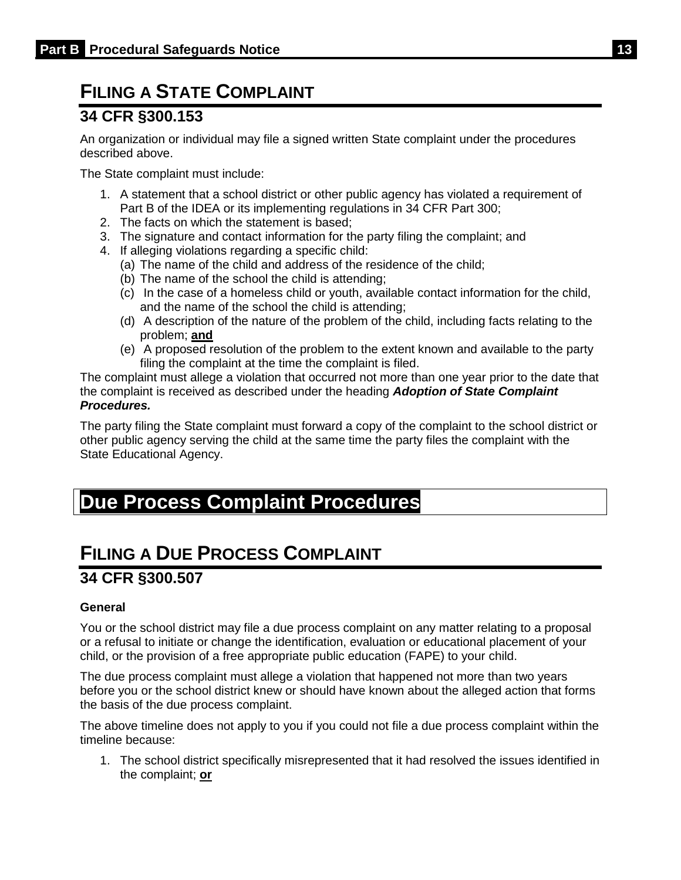# <span id="page-14-0"></span>**FILING A STATE COMPLAINT**

## **34 CFR §300.153**

An organization or individual may file a signed written State complaint under the procedures described above.

The State complaint must include:

- 1. A statement that a school district or other public agency has violated a requirement of Part B of the IDEA or its implementing regulations in 34 CFR Part 300;
- 2. The facts on which the statement is based;
- 3. The signature and contact information for the party filing the complaint; and
- 4. If alleging violations regarding a specific child:
	- (a) The name of the child and address of the residence of the child;
	- (b) The name of the school the child is attending;
	- (c) In the case of a homeless child or youth, available contact information for the child, and the name of the school the child is attending;
	- (d) A description of the nature of the problem of the child, including facts relating to the problem; **and**
	- (e) A proposed resolution of the problem to the extent known and available to the party filing the complaint at the time the complaint is filed.

The complaint must allege a violation that occurred not more than one year prior to the date that the complaint is received as described under the heading *Adoption of State Complaint Procedures.*

The party filing the State complaint must forward a copy of the complaint to the school district or other public agency serving the child at the same time the party files the complaint with the State Educational Agency.

# <span id="page-14-2"></span><span id="page-14-1"></span>**Due Process Complaint Procedures**

# **FILING A DUE PROCESS COMPLAINT**

## **34 CFR §300.507**

## **General**

You or the school district may file a due process complaint on any matter relating to a proposal or a refusal to initiate or change the identification, evaluation or educational placement of your child, or the provision of a free appropriate public education (FAPE) to your child.

The due process complaint must allege a violation that happened not more than two years before you or the school district knew or should have known about the alleged action that forms the basis of the due process complaint.

The above timeline does not apply to you if you could not file a due process complaint within the timeline because:

1. The school district specifically misrepresented that it had resolved the issues identified in the complaint; **or**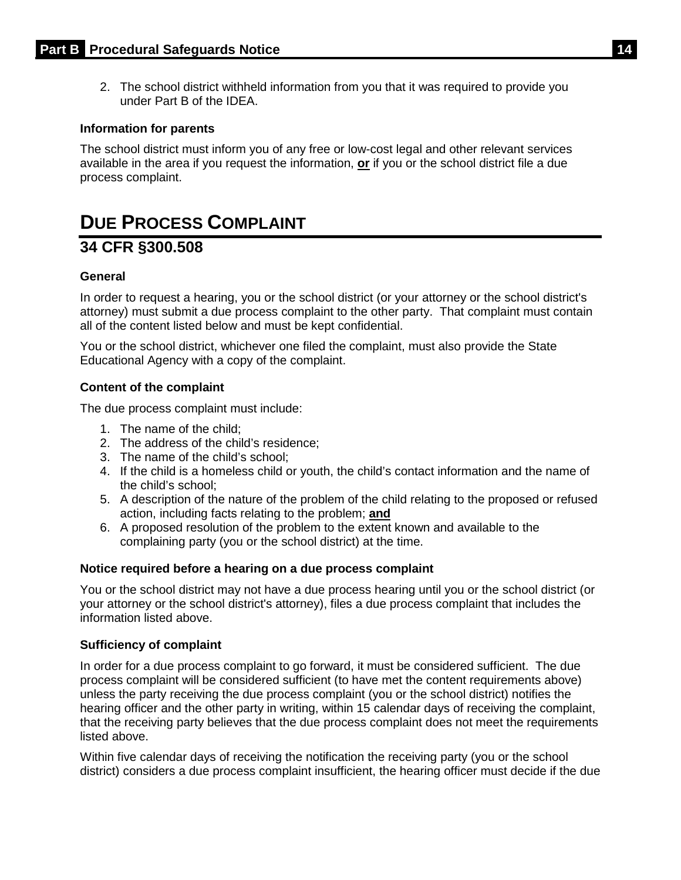2. The school district withheld information from you that it was required to provide you under Part B of the IDEA.

## **Information for parents**

The school district must inform you of any free or low-cost legal and other relevant services available in the area if you request the information, **or** if you or the school district file a due process complaint.

# <span id="page-15-0"></span>**DUE PROCESS COMPLAINT**

## **34 CFR §300.508**

## **General**

In order to request a hearing, you or the school district (or your attorney or the school district's attorney) must submit a due process complaint to the other party. That complaint must contain all of the content listed below and must be kept confidential.

You or the school district, whichever one filed the complaint, must also provide the State Educational Agency with a copy of the complaint.

## **Content of the complaint**

The due process complaint must include:

- 1. The name of the child;
- 2. The address of the child's residence;
- 3. The name of the child's school;
- 4. If the child is a homeless child or youth, the child's contact information and the name of the child's school;
- 5. A description of the nature of the problem of the child relating to the proposed or refused action, including facts relating to the problem; **and**
- 6. A proposed resolution of the problem to the extent known and available to the complaining party (you or the school district) at the time.

#### **Notice required before a hearing on a due process complaint**

You or the school district may not have a due process hearing until you or the school district (or your attorney or the school district's attorney), files a due process complaint that includes the information listed above.

#### **Sufficiency of complaint**

In order for a due process complaint to go forward, it must be considered sufficient. The due process complaint will be considered sufficient (to have met the content requirements above) unless the party receiving the due process complaint (you or the school district) notifies the hearing officer and the other party in writing, within 15 calendar days of receiving the complaint, that the receiving party believes that the due process complaint does not meet the requirements listed above.

Within five calendar days of receiving the notification the receiving party (you or the school district) considers a due process complaint insufficient, the hearing officer must decide if the due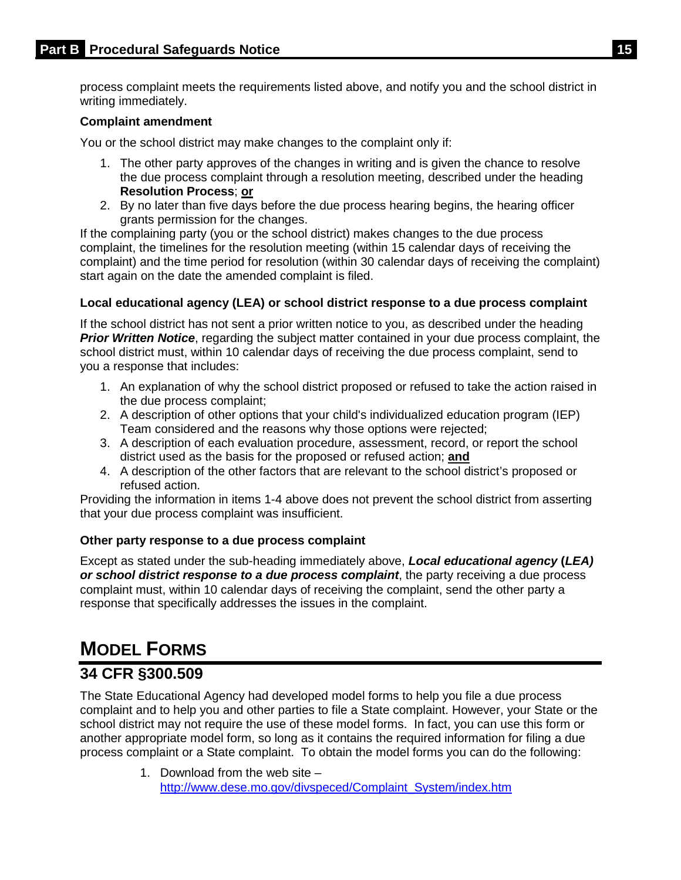process complaint meets the requirements listed above, and notify you and the school district in writing immediately.

## **Complaint amendment**

You or the school district may make changes to the complaint only if:

- 1. The other party approves of the changes in writing and is given the chance to resolve the due process complaint through a resolution meeting, described under the heading **Resolution Process**; **or**
- 2. By no later than five days before the due process hearing begins, the hearing officer grants permission for the changes.

If the complaining party (you or the school district) makes changes to the due process complaint, the timelines for the resolution meeting (within 15 calendar days of receiving the complaint) and the time period for resolution (within 30 calendar days of receiving the complaint) start again on the date the amended complaint is filed.

## **Local educational agency (LEA) or school district response to a due process complaint**

If the school district has not sent a prior written notice to you, as described under the heading *Prior Written Notice, regarding the subject matter contained in your due process complaint, the* school district must, within 10 calendar days of receiving the due process complaint, send to you a response that includes:

- 1. An explanation of why the school district proposed or refused to take the action raised in the due process complaint;
- 2. A description of other options that your child's individualized education program (IEP) Team considered and the reasons why those options were rejected;
- 3. A description of each evaluation procedure, assessment, record, or report the school district used as the basis for the proposed or refused action; **and**
- 4. A description of the other factors that are relevant to the school district's proposed or refused action.

Providing the information in items 1-4 above does not prevent the school district from asserting that your due process complaint was insufficient.

## **Other party response to a due process complaint**

Except as stated under the sub-heading immediately above, *Local educational agency* **(***LEA) or school district response to a due process complaint*, the party receiving a due process complaint must, within 10 calendar days of receiving the complaint, send the other party a response that specifically addresses the issues in the complaint.

# <span id="page-16-0"></span>**MODEL FORMS**

## **34 CFR §300.509**

The State Educational Agency had developed model forms to help you file a due process complaint and to help you and other parties to file a State complaint. However, your State or the school district may not require the use of these model forms. In fact, you can use this form or another appropriate model form, so long as it contains the required information for filing a due process complaint or a State complaint. To obtain the model forms you can do the following:

> 1. Download from the web site – [http://www.dese.mo.gov/divspeced/Complaint\\_System/index.htm](http://www.dese.mo.gov/divspeced/Complaint_System/index.htm)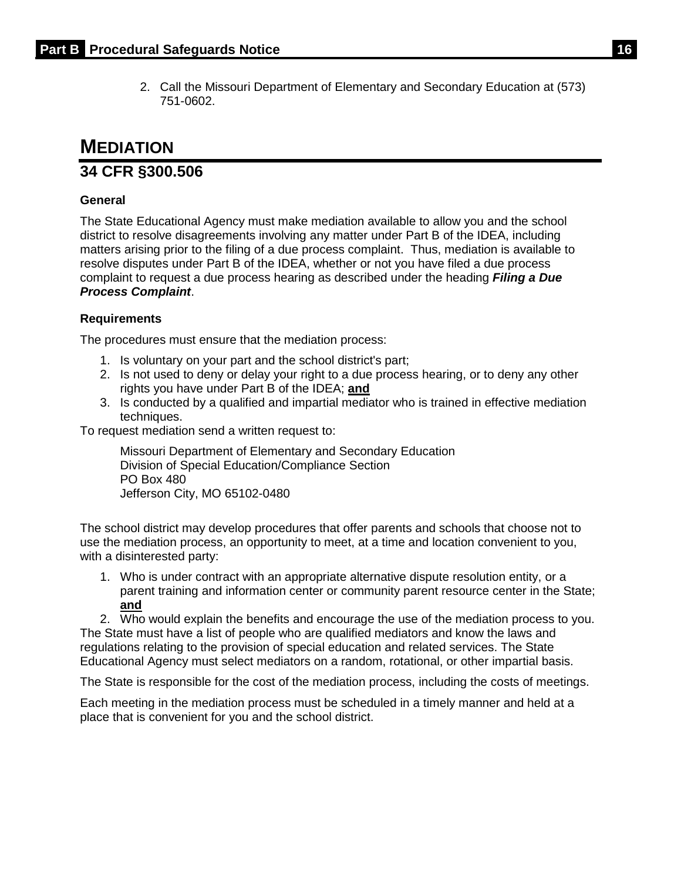2. Call the Missouri Department of Elementary and Secondary Education at (573) 751-0602.

# <span id="page-17-0"></span>**MEDIATION**

## **34 CFR §300.506**

## **General**

The State Educational Agency must make mediation available to allow you and the school district to resolve disagreements involving any matter under Part B of the IDEA, including matters arising prior to the filing of a due process complaint. Thus, mediation is available to resolve disputes under Part B of the IDEA, whether or not you have filed a due process complaint to request a due process hearing as described under the heading *Filing a Due Process Complaint*.

## **Requirements**

The procedures must ensure that the mediation process:

- 1. Is voluntary on your part and the school district's part;
- 2. Is not used to deny or delay your right to a due process hearing, or to deny any other rights you have under Part B of the IDEA; **and**
- 3. Is conducted by a qualified and impartial mediator who is trained in effective mediation techniques.

To request mediation send a written request to:

Missouri Department of Elementary and Secondary Education Division of Special Education/Compliance Section PO Box 480 Jefferson City, MO 65102-0480

The school district may develop procedures that offer parents and schools that choose not to use the mediation process, an opportunity to meet, at a time and location convenient to you, with a disinterested party:

1. Who is under contract with an appropriate alternative dispute resolution entity, or a parent training and information center or community parent resource center in the State; **and**

2. Who would explain the benefits and encourage the use of the mediation process to you. The State must have a list of people who are qualified mediators and know the laws and regulations relating to the provision of special education and related services. The State Educational Agency must select mediators on a random, rotational, or other impartial basis.

The State is responsible for the cost of the mediation process, including the costs of meetings.

Each meeting in the mediation process must be scheduled in a timely manner and held at a place that is convenient for you and the school district.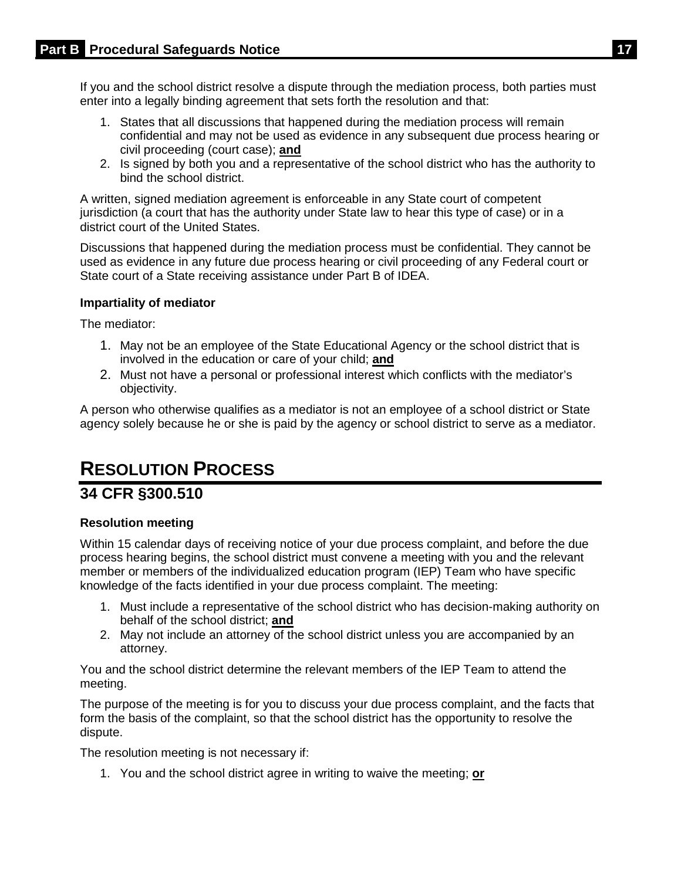If you and the school district resolve a dispute through the mediation process, both parties must enter into a legally binding agreement that sets forth the resolution and that:

- 1. States that all discussions that happened during the mediation process will remain confidential and may not be used as evidence in any subsequent due process hearing or civil proceeding (court case); **and**
- 2. Is signed by both you and a representative of the school district who has the authority to bind the school district.

A written, signed mediation agreement is enforceable in any State court of competent jurisdiction (a court that has the authority under State law to hear this type of case) or in a district court of the United States.

Discussions that happened during the mediation process must be confidential. They cannot be used as evidence in any future due process hearing or civil proceeding of any Federal court or State court of a State receiving assistance under Part B of IDEA.

## **Impartiality of mediator**

The mediator:

- 1. May not be an employee of the State Educational Agency or the school district that is involved in the education or care of your child; **and**
- 2. Must not have a personal or professional interest which conflicts with the mediator's objectivity.

A person who otherwise qualifies as a mediator is not an employee of a school district or State agency solely because he or she is paid by the agency or school district to serve as a mediator.

# <span id="page-18-0"></span>**RESOLUTION PROCESS**

## **34 CFR §300.510**

## **Resolution meeting**

Within 15 calendar days of receiving notice of your due process complaint, and before the due process hearing begins, the school district must convene a meeting with you and the relevant member or members of the individualized education program (IEP) Team who have specific knowledge of the facts identified in your due process complaint. The meeting:

- 1. Must include a representative of the school district who has decision-making authority on behalf of the school district; **and**
- 2. May not include an attorney of the school district unless you are accompanied by an attorney.

You and the school district determine the relevant members of the IEP Team to attend the meeting.

The purpose of the meeting is for you to discuss your due process complaint, and the facts that form the basis of the complaint, so that the school district has the opportunity to resolve the dispute.

The resolution meeting is not necessary if:

1. You and the school district agree in writing to waive the meeting; **or**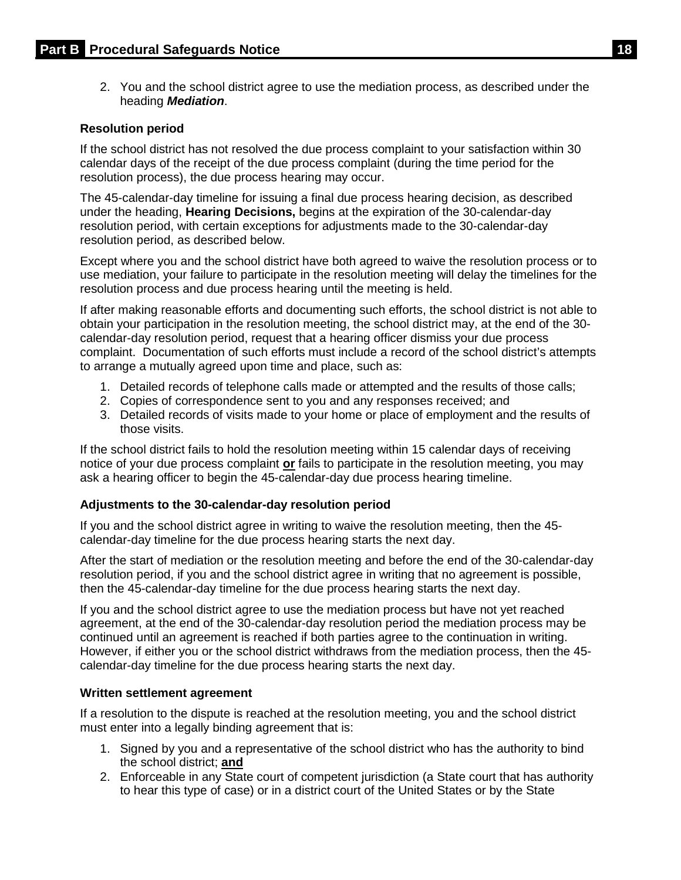2. You and the school district agree to use the mediation process, as described under the heading *Mediation*.

#### **Resolution period**

If the school district has not resolved the due process complaint to your satisfaction within 30 calendar days of the receipt of the due process complaint (during the time period for the resolution process), the due process hearing may occur.

The 45-calendar-day timeline for issuing a final due process hearing decision, as described under the heading, **Hearing Decisions,** begins at the expiration of the 30-calendar-day resolution period, with certain exceptions for adjustments made to the 30-calendar-day resolution period, as described below.

Except where you and the school district have both agreed to waive the resolution process or to use mediation, your failure to participate in the resolution meeting will delay the timelines for the resolution process and due process hearing until the meeting is held.

If after making reasonable efforts and documenting such efforts, the school district is not able to obtain your participation in the resolution meeting, the school district may, at the end of the 30 calendar-day resolution period, request that a hearing officer dismiss your due process complaint. Documentation of such efforts must include a record of the school district's attempts to arrange a mutually agreed upon time and place, such as:

- 1. Detailed records of telephone calls made or attempted and the results of those calls;
- 2. Copies of correspondence sent to you and any responses received; and
- 3. Detailed records of visits made to your home or place of employment and the results of those visits.

If the school district fails to hold the resolution meeting within 15 calendar days of receiving notice of your due process complaint **or** fails to participate in the resolution meeting, you may ask a hearing officer to begin the 45-calendar-day due process hearing timeline.

#### **Adjustments to the 30-calendar-day resolution period**

If you and the school district agree in writing to waive the resolution meeting, then the 45 calendar-day timeline for the due process hearing starts the next day.

After the start of mediation or the resolution meeting and before the end of the 30-calendar-day resolution period, if you and the school district agree in writing that no agreement is possible, then the 45-calendar-day timeline for the due process hearing starts the next day.

If you and the school district agree to use the mediation process but have not yet reached agreement, at the end of the 30-calendar-day resolution period the mediation process may be continued until an agreement is reached if both parties agree to the continuation in writing. However, if either you or the school district withdraws from the mediation process, then the 45 calendar-day timeline for the due process hearing starts the next day.

#### **Written settlement agreement**

If a resolution to the dispute is reached at the resolution meeting, you and the school district must enter into a legally binding agreement that is:

- 1. Signed by you and a representative of the school district who has the authority to bind the school district; **and**
- 2. Enforceable in any State court of competent jurisdiction (a State court that has authority to hear this type of case) or in a district court of the United States or by the State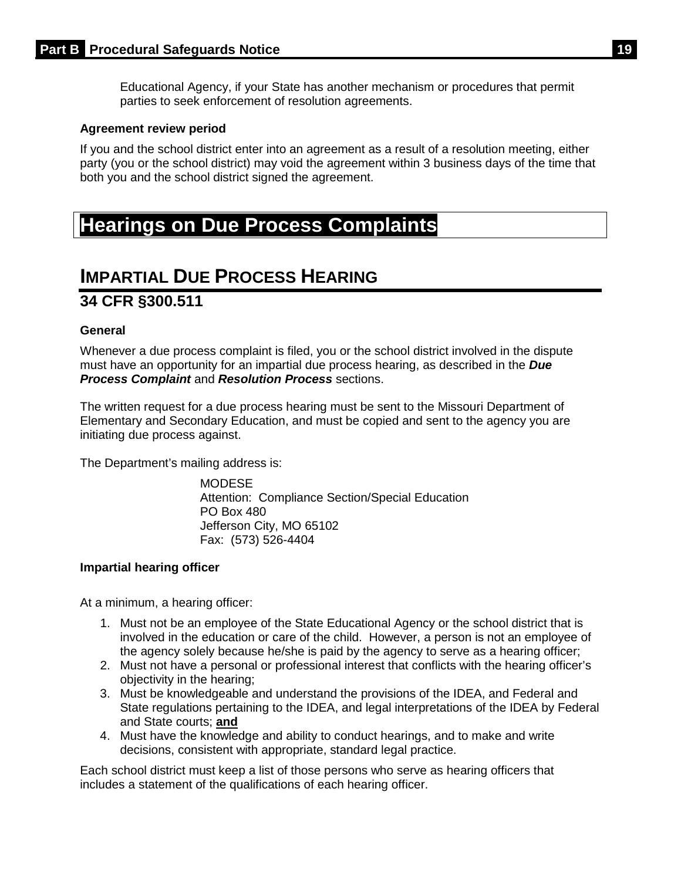Educational Agency, if your State has another mechanism or procedures that permit parties to seek enforcement of resolution agreements.

#### **Agreement review period**

If you and the school district enter into an agreement as a result of a resolution meeting, either party (you or the school district) may void the agreement within 3 business days of the time that both you and the school district signed the agreement.

## <span id="page-20-1"></span><span id="page-20-0"></span>**Hearings on Due Process Complaints**

# **IMPARTIAL DUE PROCESS HEARING**

## **34 CFR §300.511**

#### **General**

Whenever a due process complaint is filed, you or the school district involved in the dispute must have an opportunity for an impartial due process hearing, as described in the *Due Process Complaint* and *Resolution Process* sections.

The written request for a due process hearing must be sent to the Missouri Department of Elementary and Secondary Education, and must be copied and sent to the agency you are initiating due process against.

The Department's mailing address is:

MODESE Attention: Compliance Section/Special Education PO Box 480 Jefferson City, MO 65102 Fax: (573) 526-4404

#### **Impartial hearing officer**

At a minimum, a hearing officer:

- 1. Must not be an employee of the State Educational Agency or the school district that is involved in the education or care of the child. However, a person is not an employee of the agency solely because he/she is paid by the agency to serve as a hearing officer;
- 2. Must not have a personal or professional interest that conflicts with the hearing officer's objectivity in the hearing;
- 3. Must be knowledgeable and understand the provisions of the IDEA, and Federal and State regulations pertaining to the IDEA, and legal interpretations of the IDEA by Federal and State courts; **and**
- 4. Must have the knowledge and ability to conduct hearings, and to make and write decisions, consistent with appropriate, standard legal practice.

Each school district must keep a list of those persons who serve as hearing officers that includes a statement of the qualifications of each hearing officer.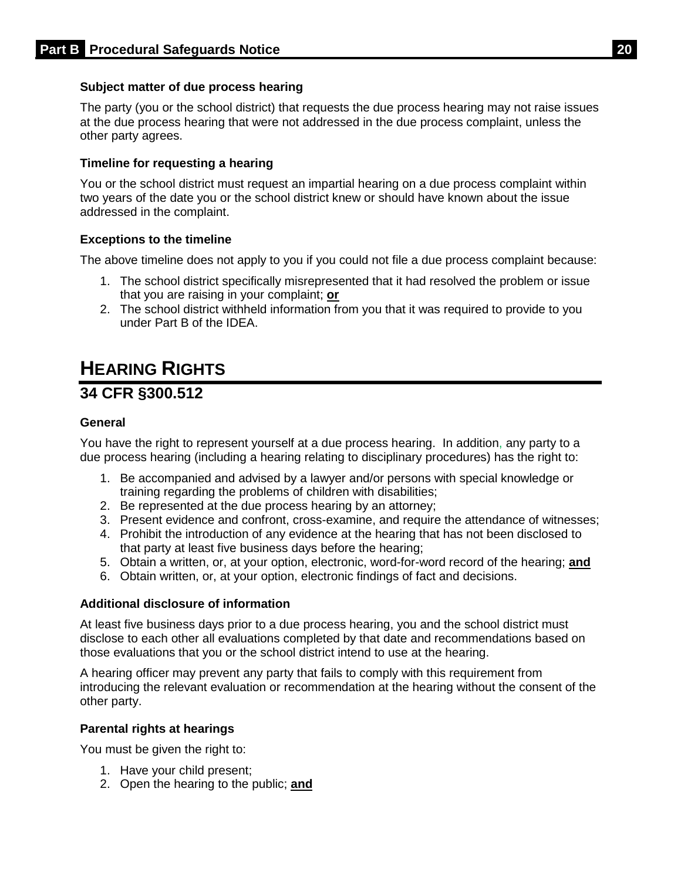#### **Subject matter of due process hearing**

The party (you or the school district) that requests the due process hearing may not raise issues at the due process hearing that were not addressed in the due process complaint, unless the other party agrees.

## **Timeline for requesting a hearing**

You or the school district must request an impartial hearing on a due process complaint within two years of the date you or the school district knew or should have known about the issue addressed in the complaint.

## **Exceptions to the timeline**

The above timeline does not apply to you if you could not file a due process complaint because:

- 1. The school district specifically misrepresented that it had resolved the problem or issue that you are raising in your complaint; **or**
- 2. The school district withheld information from you that it was required to provide to you under Part B of the IDEA.

# <span id="page-21-0"></span>**HEARING RIGHTS**

## **34 CFR §300.512**

## **General**

You have the right to represent yourself at a due process hearing. In addition, any party to a due process hearing (including a hearing relating to disciplinary procedures) has the right to:

- 1. Be accompanied and advised by a lawyer and/or persons with special knowledge or training regarding the problems of children with disabilities;
- 2. Be represented at the due process hearing by an attorney;
- 3. Present evidence and confront, cross-examine, and require the attendance of witnesses;
- 4. Prohibit the introduction of any evidence at the hearing that has not been disclosed to that party at least five business days before the hearing;
- 5. Obtain a written, or, at your option, electronic, word-for-word record of the hearing; **and**
- 6. Obtain written, or, at your option, electronic findings of fact and decisions.

#### **Additional disclosure of information**

At least five business days prior to a due process hearing, you and the school district must disclose to each other all evaluations completed by that date and recommendations based on those evaluations that you or the school district intend to use at the hearing.

A hearing officer may prevent any party that fails to comply with this requirement from introducing the relevant evaluation or recommendation at the hearing without the consent of the other party.

#### **Parental rights at hearings**

You must be given the right to:

- 1. Have your child present;
- 2. Open the hearing to the public; **and**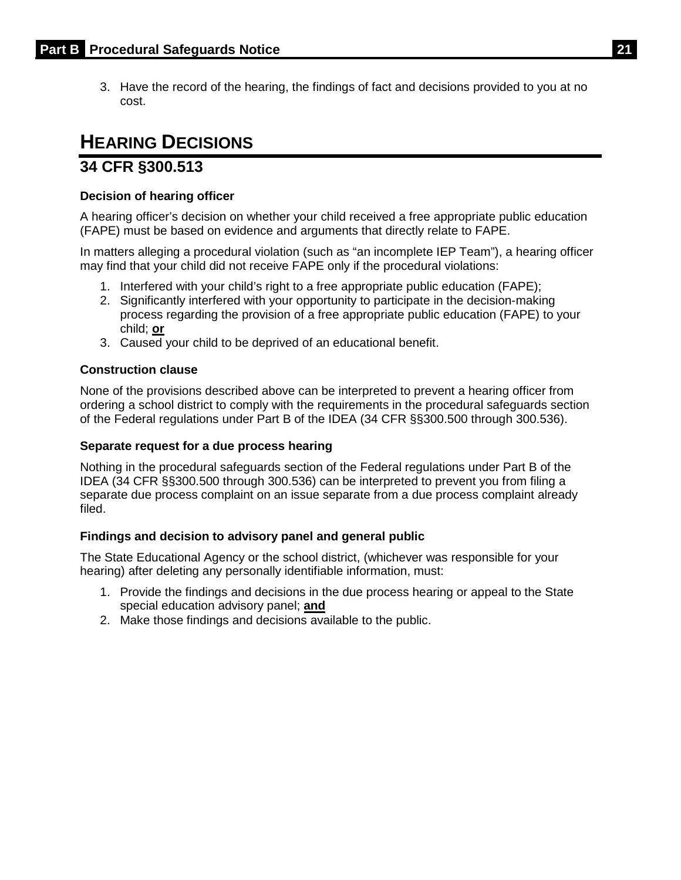3. Have the record of the hearing, the findings of fact and decisions provided to you at no cost.

# <span id="page-22-0"></span>**HEARING DECISIONS**

## **34 CFR §300.513**

## **Decision of hearing officer**

A hearing officer's decision on whether your child received a free appropriate public education (FAPE) must be based on evidence and arguments that directly relate to FAPE.

In matters alleging a procedural violation (such as "an incomplete IEP Team"), a hearing officer may find that your child did not receive FAPE only if the procedural violations:

- 1. Interfered with your child's right to a free appropriate public education (FAPE);
- 2. Significantly interfered with your opportunity to participate in the decision-making process regarding the provision of a free appropriate public education (FAPE) to your child; **or**
- 3. Caused your child to be deprived of an educational benefit.

## **Construction clause**

None of the provisions described above can be interpreted to prevent a hearing officer from ordering a school district to comply with the requirements in the procedural safeguards section of the Federal regulations under Part B of the IDEA (34 CFR §§300.500 through 300.536).

#### **Separate request for a due process hearing**

Nothing in the procedural safeguards section of the Federal regulations under Part B of the IDEA (34 CFR §§300.500 through 300.536) can be interpreted to prevent you from filing a separate due process complaint on an issue separate from a due process complaint already filed.

## **Findings and decision to advisory panel and general public**

The State Educational Agency or the school district, (whichever was responsible for your hearing) after deleting any personally identifiable information, must:

- 1. Provide the findings and decisions in the due process hearing or appeal to the State special education advisory panel; **and**
- 2. Make those findings and decisions available to the public.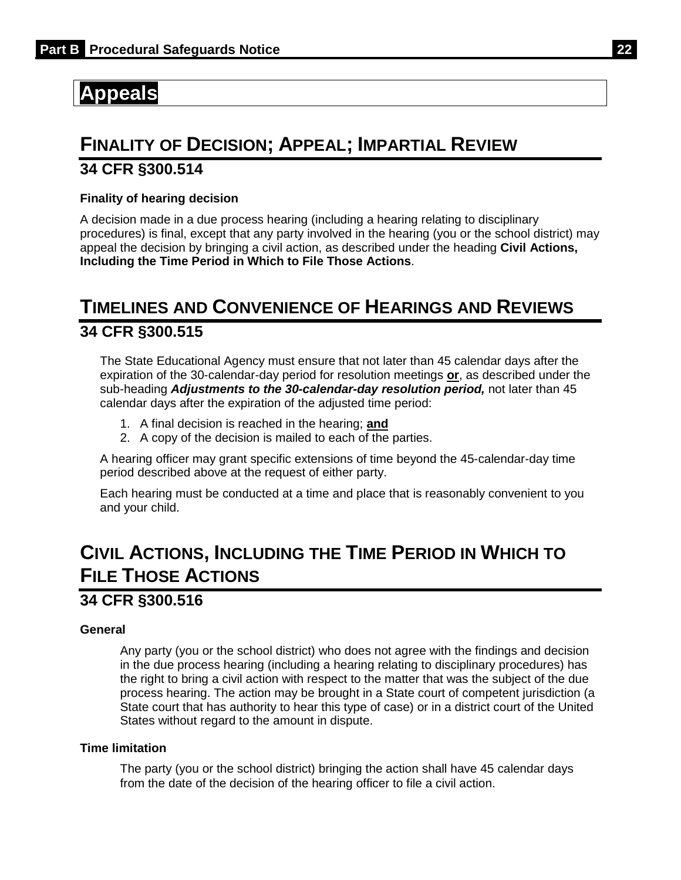# <span id="page-23-1"></span><span id="page-23-0"></span>**Appeals**

## **FINALITY OF DECISION; APPEAL; IMPARTIAL REVIEW**

## **34 CFR §300.514**

#### **Finality of hearing decision**

A decision made in a due process hearing (including a hearing relating to disciplinary procedures) is final, except that any party involved in the hearing (you or the school district) may appeal the decision by bringing a civil action, as described under the heading **Civil Actions, Including the Time Period in Which to File Those Actions**.

# <span id="page-23-2"></span>**TIMELINES AND CONVENIENCE OF HEARINGS AND REVIEWS 34 CFR §300.515**

The State Educational Agency must ensure that not later than 45 calendar days after the expiration of the 30-calendar-day period for resolution meetings **or**, as described under the sub-heading *Adjustments to the 30-calendar-day resolution period,* not later than 45 calendar days after the expiration of the adjusted time period:

- 1. A final decision is reached in the hearing; **and**
- 2. A copy of the decision is mailed to each of the parties.

A hearing officer may grant specific extensions of time beyond the 45-calendar-day time period described above at the request of either party.

Each hearing must be conducted at a time and place that is reasonably convenient to you and your child.

# <span id="page-23-3"></span>**CIVIL ACTIONS, INCLUDING THE TIME PERIOD IN WHICH TO FILE THOSE ACTIONS**

## **34 CFR §300.516**

#### **General**

Any party (you or the school district) who does not agree with the findings and decision in the due process hearing (including a hearing relating to disciplinary procedures) has the right to bring a civil action with respect to the matter that was the subject of the due process hearing. The action may be brought in a State court of competent jurisdiction (a State court that has authority to hear this type of case) or in a district court of the United States without regard to the amount in dispute.

#### **Time limitation**

The party (you or the school district) bringing the action shall have 45 calendar days from the date of the decision of the hearing officer to file a civil action.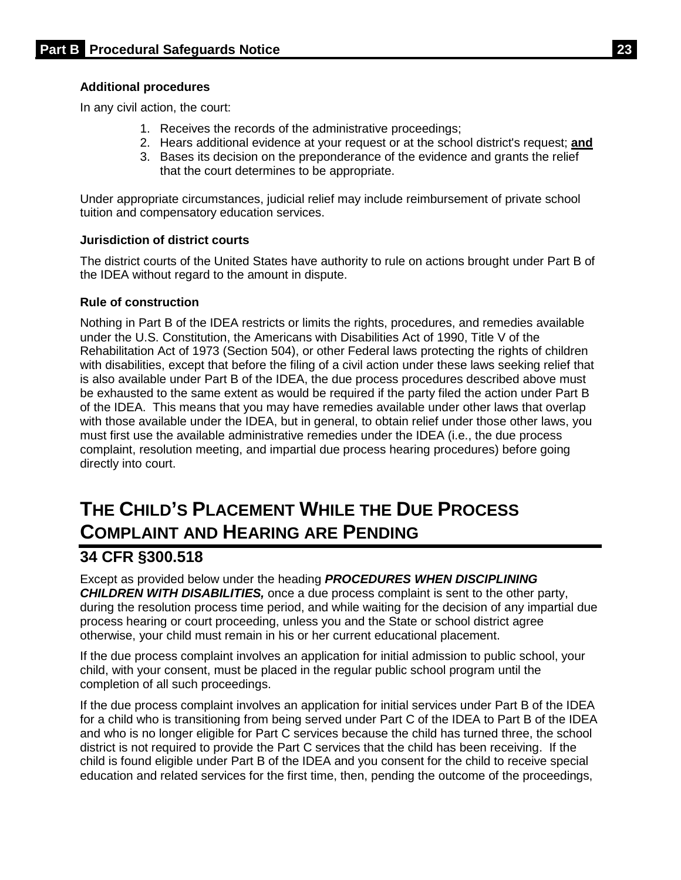## **Additional procedures**

In any civil action, the court:

- 1. Receives the records of the administrative proceedings;
- 2. Hears additional evidence at your request or at the school district's request; **and**
- 3. Bases its decision on the preponderance of the evidence and grants the relief that the court determines to be appropriate.

Under appropriate circumstances, judicial relief may include reimbursement of private school tuition and compensatory education services.

#### **Jurisdiction of district courts**

The district courts of the United States have authority to rule on actions brought under Part B of the IDEA without regard to the amount in dispute.

#### **Rule of construction**

Nothing in Part B of the IDEA restricts or limits the rights, procedures, and remedies available under the U.S. Constitution, the Americans with Disabilities Act of 1990, Title V of the Rehabilitation Act of 1973 (Section 504), or other Federal laws protecting the rights of children with disabilities, except that before the filing of a civil action under these laws seeking relief that is also available under Part B of the IDEA, the due process procedures described above must be exhausted to the same extent as would be required if the party filed the action under Part B of the IDEA. This means that you may have remedies available under other laws that overlap with those available under the IDEA, but in general, to obtain relief under those other laws, you must first use the available administrative remedies under the IDEA (i.e., the due process complaint, resolution meeting, and impartial due process hearing procedures) before going directly into court.

# <span id="page-24-0"></span>**THE CHILD'S PLACEMENT WHILE THE DUE PROCESS COMPLAINT AND HEARING ARE PENDING**

## **34 CFR §300.518**

Except as provided below under the heading *PROCEDURES WHEN DISCIPLINING CHILDREN WITH DISABILITIES,* once a due process complaint is sent to the other party, during the resolution process time period, and while waiting for the decision of any impartial due process hearing or court proceeding, unless you and the State or school district agree otherwise, your child must remain in his or her current educational placement.

If the due process complaint involves an application for initial admission to public school, your child, with your consent, must be placed in the regular public school program until the completion of all such proceedings.

If the due process complaint involves an application for initial services under Part B of the IDEA for a child who is transitioning from being served under Part C of the IDEA to Part B of the IDEA and who is no longer eligible for Part C services because the child has turned three, the school district is not required to provide the Part C services that the child has been receiving. If the child is found eligible under Part B of the IDEA and you consent for the child to receive special education and related services for the first time, then, pending the outcome of the proceedings,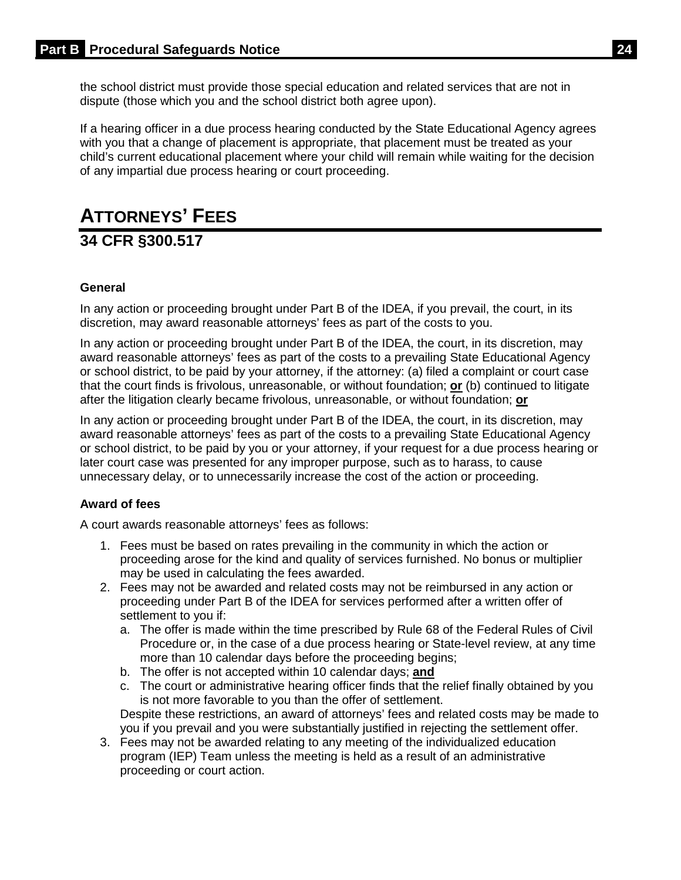the school district must provide those special education and related services that are not in dispute (those which you and the school district both agree upon).

If a hearing officer in a due process hearing conducted by the State Educational Agency agrees with you that a change of placement is appropriate, that placement must be treated as your child's current educational placement where your child will remain while waiting for the decision of any impartial due process hearing or court proceeding.

# **ATTORNEYS' FEES**

**34 CFR §300.517**

## **General**

In any action or proceeding brought under Part B of the IDEA, if you prevail, the court, in its discretion, may award reasonable attorneys' fees as part of the costs to you.

In any action or proceeding brought under Part B of the IDEA, the court, in its discretion, may award reasonable attorneys' fees as part of the costs to a prevailing State Educational Agency or school district, to be paid by your attorney, if the attorney: (a) filed a complaint or court case that the court finds is frivolous, unreasonable, or without foundation; **or** (b) continued to litigate after the litigation clearly became frivolous, unreasonable, or without foundation; **or**

In any action or proceeding brought under Part B of the IDEA, the court, in its discretion, may award reasonable attorneys' fees as part of the costs to a prevailing State Educational Agency or school district, to be paid by you or your attorney, if your request for a due process hearing or later court case was presented for any improper purpose, such as to harass, to cause unnecessary delay, or to unnecessarily increase the cost of the action or proceeding.

## **Award of fees**

A court awards reasonable attorneys' fees as follows:

- 1. Fees must be based on rates prevailing in the community in which the action or proceeding arose for the kind and quality of services furnished. No bonus or multiplier may be used in calculating the fees awarded.
- 2. Fees may not be awarded and related costs may not be reimbursed in any action or proceeding under Part B of the IDEA for services performed after a written offer of settlement to you if:
	- a. The offer is made within the time prescribed by Rule 68 of the Federal Rules of Civil Procedure or, in the case of a due process hearing or State-level review, at any time more than 10 calendar days before the proceeding begins;
	- b. The offer is not accepted within 10 calendar days; **and**
	- c. The court or administrative hearing officer finds that the relief finally obtained by you is not more favorable to you than the offer of settlement.

Despite these restrictions, an award of attorneys' fees and related costs may be made to you if you prevail and you were substantially justified in rejecting the settlement offer.

3. Fees may not be awarded relating to any meeting of the individualized education program (IEP) Team unless the meeting is held as a result of an administrative proceeding or court action.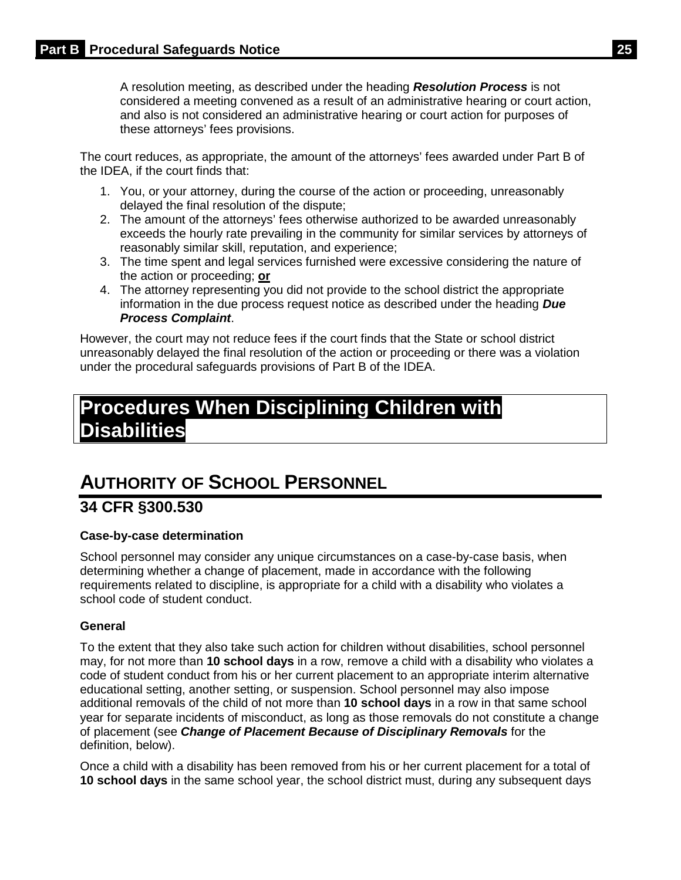A resolution meeting, as described under the heading *Resolution Process* is not considered a meeting convened as a result of an administrative hearing or court action, and also is not considered an administrative hearing or court action for purposes of these attorneys' fees provisions.

The court reduces, as appropriate, the amount of the attorneys' fees awarded under Part B of the IDEA, if the court finds that:

- 1. You, or your attorney, during the course of the action or proceeding, unreasonably delayed the final resolution of the dispute;
- 2. The amount of the attorneys' fees otherwise authorized to be awarded unreasonably exceeds the hourly rate prevailing in the community for similar services by attorneys of reasonably similar skill, reputation, and experience;
- 3. The time spent and legal services furnished were excessive considering the nature of the action or proceeding; **or**
- 4. The attorney representing you did not provide to the school district the appropriate information in the due process request notice as described under the heading *Due Process Complaint*.

However, the court may not reduce fees if the court finds that the State or school district unreasonably delayed the final resolution of the action or proceeding or there was a violation under the procedural safeguards provisions of Part B of the IDEA.

# <span id="page-26-0"></span>**Procedures When Disciplining Children with Disabilities**

# <span id="page-26-1"></span>**AUTHORITY OF SCHOOL PERSONNEL**

## **34 CFR §300.530**

## **Case-by-case determination**

School personnel may consider any unique circumstances on a case-by-case basis, when determining whether a change of placement, made in accordance with the following requirements related to discipline, is appropriate for a child with a disability who violates a school code of student conduct.

## **General**

To the extent that they also take such action for children without disabilities, school personnel may, for not more than **10 school days** in a row, remove a child with a disability who violates a code of student conduct from his or her current placement to an appropriate interim alternative educational setting, another setting, or suspension. School personnel may also impose additional removals of the child of not more than **10 school days** in a row in that same school year for separate incidents of misconduct, as long as those removals do not constitute a change of placement (see *Change of Placement Because of Disciplinary Removals* for the definition, below).

Once a child with a disability has been removed from his or her current placement for a total of **10 school days** in the same school year, the school district must, during any subsequent days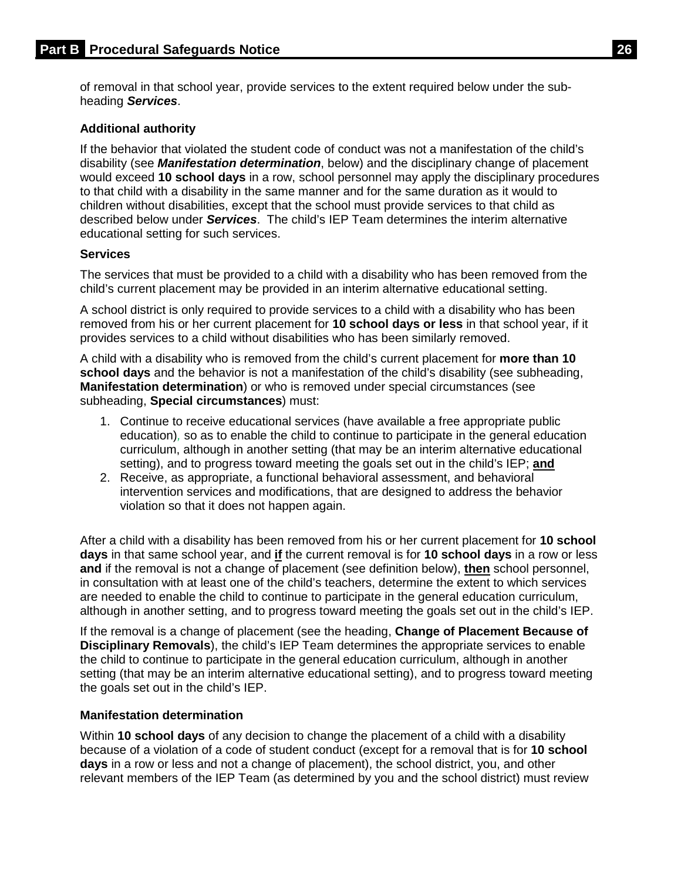of removal in that school year, provide services to the extent required below under the subheading *Services*.

## **Additional authority**

If the behavior that violated the student code of conduct was not a manifestation of the child's disability (see *Manifestation determination*, below) and the disciplinary change of placement would exceed **10 school days** in a row, school personnel may apply the disciplinary procedures to that child with a disability in the same manner and for the same duration as it would to children without disabilities, except that the school must provide services to that child as described below under *Services*. The child's IEP Team determines the interim alternative educational setting for such services.

## **Services**

The services that must be provided to a child with a disability who has been removed from the child's current placement may be provided in an interim alternative educational setting.

A school district is only required to provide services to a child with a disability who has been removed from his or her current placement for **10 school days or less** in that school year, if it provides services to a child without disabilities who has been similarly removed.

A child with a disability who is removed from the child's current placement for **more than 10 school days** and the behavior is not a manifestation of the child's disability (see subheading, **Manifestation determination**) or who is removed under special circumstances (see subheading, **Special circumstances**) must:

- 1. Continue to receive educational services (have available a free appropriate public education)*,* so as to enable the child to continue to participate in the general education curriculum, although in another setting (that may be an interim alternative educational setting), and to progress toward meeting the goals set out in the child's IEP; **and**
- 2. Receive, as appropriate, a functional behavioral assessment, and behavioral intervention services and modifications, that are designed to address the behavior violation so that it does not happen again.

After a child with a disability has been removed from his or her current placement for **10 school days** in that same school year, and **if** the current removal is for **10 school days** in a row or less **and** if the removal is not a change of placement (see definition below), **then** school personnel, in consultation with at least one of the child's teachers, determine the extent to which services are needed to enable the child to continue to participate in the general education curriculum, although in another setting, and to progress toward meeting the goals set out in the child's IEP.

If the removal is a change of placement (see the heading, **Change of Placement Because of Disciplinary Removals**), the child's IEP Team determines the appropriate services to enable the child to continue to participate in the general education curriculum, although in another setting (that may be an interim alternative educational setting), and to progress toward meeting the goals set out in the child's IEP.

#### **Manifestation determination**

Within **10 school days** of any decision to change the placement of a child with a disability because of a violation of a code of student conduct (except for a removal that is for **10 school days** in a row or less and not a change of placement), the school district, you, and other relevant members of the IEP Team (as determined by you and the school district) must review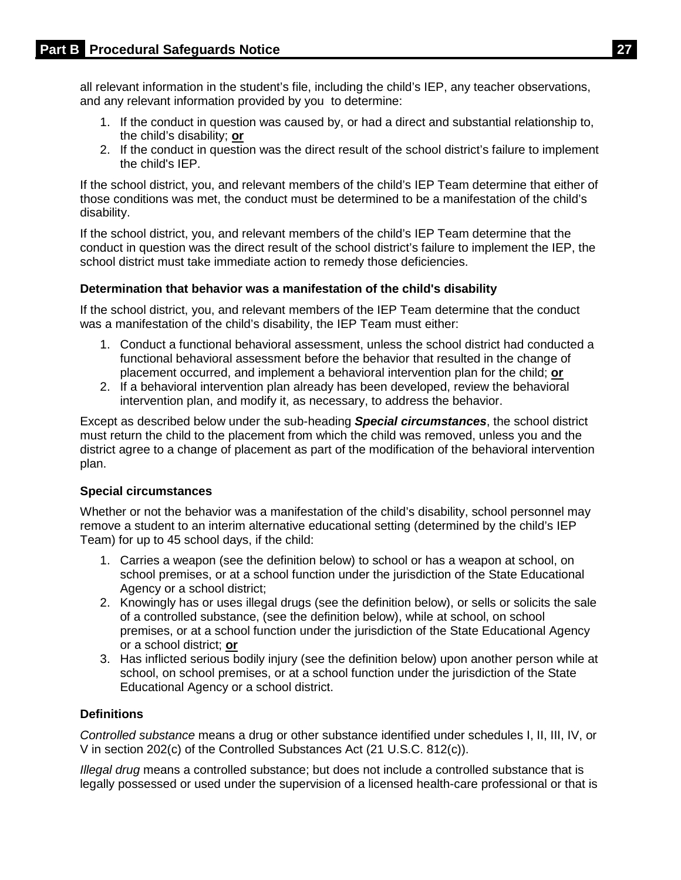all relevant information in the student's file, including the child's IEP, any teacher observations, and any relevant information provided by you to determine:

- 1. If the conduct in question was caused by, or had a direct and substantial relationship to, the child's disability; **or**
- 2. If the conduct in question was the direct result of the school district's failure to implement the child's IEP.

If the school district, you, and relevant members of the child's IEP Team determine that either of those conditions was met, the conduct must be determined to be a manifestation of the child's disability.

If the school district, you, and relevant members of the child's IEP Team determine that the conduct in question was the direct result of the school district's failure to implement the IEP, the school district must take immediate action to remedy those deficiencies.

## **Determination that behavior was a manifestation of the child's disability**

If the school district, you, and relevant members of the IEP Team determine that the conduct was a manifestation of the child's disability, the IEP Team must either:

- 1. Conduct a functional behavioral assessment, unless the school district had conducted a functional behavioral assessment before the behavior that resulted in the change of placement occurred, and implement a behavioral intervention plan for the child; **or**
- 2. If a behavioral intervention plan already has been developed, review the behavioral intervention plan, and modify it, as necessary, to address the behavior.

Except as described below under the sub-heading *Special circumstances*, the school district must return the child to the placement from which the child was removed, unless you and the district agree to a change of placement as part of the modification of the behavioral intervention plan.

#### **Special circumstances**

Whether or not the behavior was a manifestation of the child's disability, school personnel may remove a student to an interim alternative educational setting (determined by the child's IEP Team) for up to 45 school days, if the child:

- 1. Carries a weapon (see the definition below) to school or has a weapon at school, on school premises, or at a school function under the jurisdiction of the State Educational Agency or a school district;
- 2. Knowingly has or uses illegal drugs (see the definition below), or sells or solicits the sale of a controlled substance, (see the definition below), while at school, on school premises, or at a school function under the jurisdiction of the State Educational Agency or a school district; **or**
- 3. Has inflicted serious bodily injury (see the definition below) upon another person while at school, on school premises, or at a school function under the jurisdiction of the State Educational Agency or a school district.

## **Definitions**

*Controlled substance* means a drug or other substance identified under schedules I, II, III, IV, or V in section 202(c) of the Controlled Substances Act (21 U.S.C. 812(c)).

*Illegal drug* means a controlled substance; but does not include a controlled substance that is legally possessed or used under the supervision of a licensed health-care professional or that is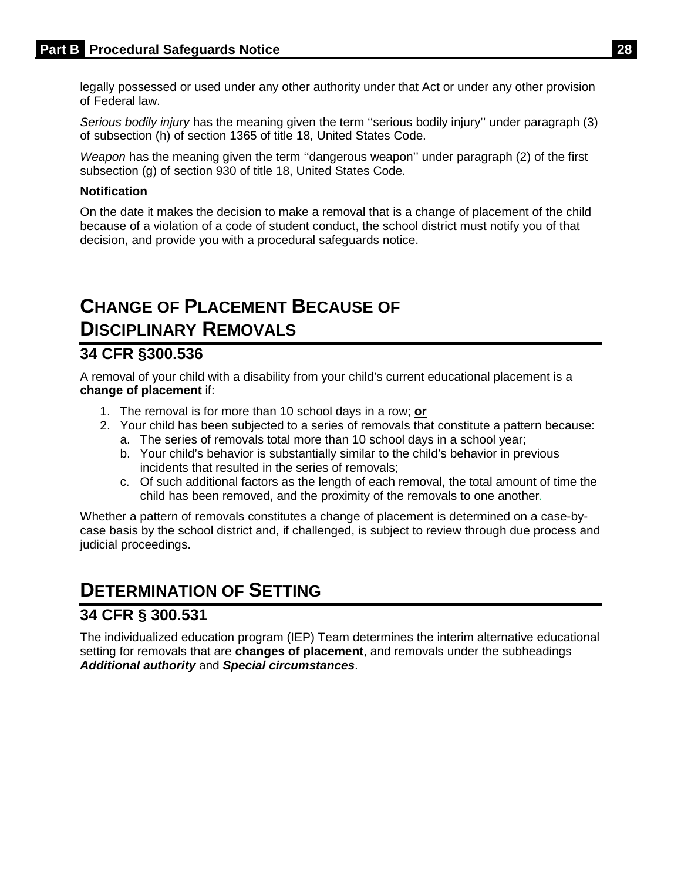legally possessed or used under any other authority under that Act or under any other provision of Federal law.

*Serious bodily injury* has the meaning given the term ''serious bodily injury'' under paragraph (3) of subsection (h) of section 1365 of title 18, United States Code.

*Weapon* has the meaning given the term "dangerous weapon" under paragraph (2) of the first subsection (g) of section 930 of title 18, United States Code.

#### **Notification**

On the date it makes the decision to make a removal that is a change of placement of the child because of a violation of a code of student conduct, the school district must notify you of that decision, and provide you with a procedural safeguards notice.

# <span id="page-29-0"></span>**CHANGE OF PLACEMENT BECAUSE OF DISCIPLINARY REMOVALS**

## **34 CFR §300.536**

A removal of your child with a disability from your child's current educational placement is a **change of placement** if:

- 1. The removal is for more than 10 school days in a row; **or**
- 2. Your child has been subjected to a series of removals that constitute a pattern because:
	- a. The series of removals total more than 10 school days in a school year;
	- b. Your child's behavior is substantially similar to the child's behavior in previous incidents that resulted in the series of removals;
	- c. Of such additional factors as the length of each removal, the total amount of time the child has been removed, and the proximity of the removals to one another*.*

Whether a pattern of removals constitutes a change of placement is determined on a case-bycase basis by the school district and, if challenged, is subject to review through due process and judicial proceedings.

# <span id="page-29-1"></span>**DETERMINATION OF SETTING**

## **34 CFR § 300.531**

The individualized education program (IEP) Team determines the interim alternative educational setting for removals that are **changes of placement**, and removals under the subheadings *Additional authority* and *Special circumstances*.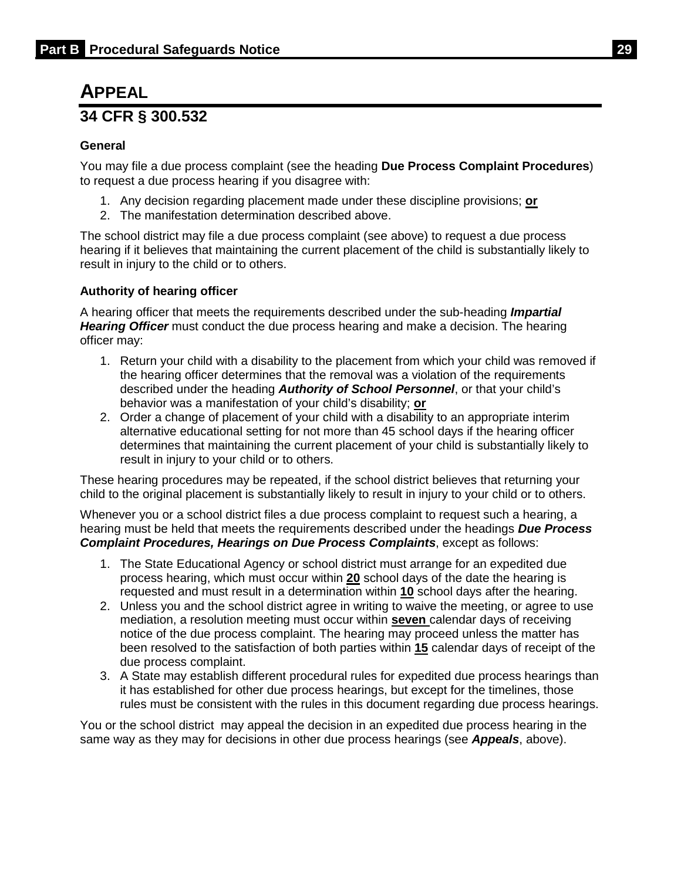## <span id="page-30-0"></span>**APPEAL 34 CFR § 300.532**

## **General**

You may file a due process complaint (see the heading **Due Process Complaint Procedures**) to request a due process hearing if you disagree with:

- 1. Any decision regarding placement made under these discipline provisions; **or**
- 2. The manifestation determination described above.

The school district may file a due process complaint (see above) to request a due process hearing if it believes that maintaining the current placement of the child is substantially likely to result in injury to the child or to others.

## **Authority of hearing officer**

A hearing officer that meets the requirements described under the sub-heading *Impartial*  **Hearing Officer** must conduct the due process hearing and make a decision. The hearing officer may:

- 1. Return your child with a disability to the placement from which your child was removed if the hearing officer determines that the removal was a violation of the requirements described under the heading *Authority of School Personnel*, or that your child's behavior was a manifestation of your child's disability; **or**
- 2. Order a change of placement of your child with a disability to an appropriate interim alternative educational setting for not more than 45 school days if the hearing officer determines that maintaining the current placement of your child is substantially likely to result in injury to your child or to others.

These hearing procedures may be repeated, if the school district believes that returning your child to the original placement is substantially likely to result in injury to your child or to others.

Whenever you or a school district files a due process complaint to request such a hearing, a hearing must be held that meets the requirements described under the headings *Due Process Complaint Procedures, Hearings on Due Process Complaints*, except as follows:

- 1. The State Educational Agency or school district must arrange for an expedited due process hearing, which must occur within **20** school days of the date the hearing is requested and must result in a determination within **10** school days after the hearing.
- 2. Unless you and the school district agree in writing to waive the meeting, or agree to use mediation, a resolution meeting must occur within **seven** calendar days of receiving notice of the due process complaint. The hearing may proceed unless the matter has been resolved to the satisfaction of both parties within **15** calendar days of receipt of the due process complaint.
- 3. A State may establish different procedural rules for expedited due process hearings than it has established for other due process hearings, but except for the timelines, those rules must be consistent with the rules in this document regarding due process hearings.

You or the school districtmay appeal the decision in an expedited due process hearing in the same way as they may for decisions in other due process hearings (see *Appeals*, above).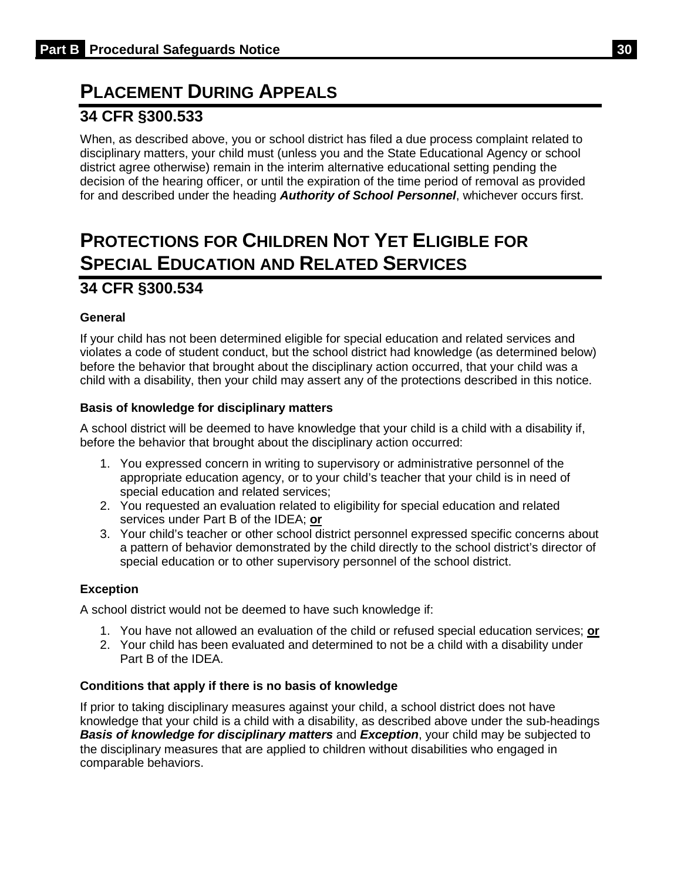# <span id="page-31-0"></span>**PLACEMENT DURING APPEALS**

## **34 CFR §300.533**

When, as described above, you or school district has filed a due process complaint related to disciplinary matters, your child must (unless you and the State Educational Agency or school district agree otherwise) remain in the interim alternative educational setting pending the decision of the hearing officer, or until the expiration of the time period of removal as provided for and described under the heading *Authority of School Personnel*, whichever occurs first.

# <span id="page-31-1"></span>**PROTECTIONS FOR CHILDREN NOT YET ELIGIBLE FOR SPECIAL EDUCATION AND RELATED SERVICES**

## **34 CFR §300.534**

## **General**

If your child has not been determined eligible for special education and related services and violates a code of student conduct, but the school district had knowledge (as determined below) before the behavior that brought about the disciplinary action occurred, that your child was a child with a disability, then your child may assert any of the protections described in this notice.

## **Basis of knowledge for disciplinary matters**

A school district will be deemed to have knowledge that your child is a child with a disability if, before the behavior that brought about the disciplinary action occurred:

- 1. You expressed concern in writing to supervisory or administrative personnel of the appropriate education agency, or to your child's teacher that your child is in need of special education and related services;
- 2. You requested an evaluation related to eligibility for special education and related services under Part B of the IDEA; **or**
- 3. Your child's teacher or other school district personnel expressed specific concerns about a pattern of behavior demonstrated by the child directly to the school district's director of special education or to other supervisory personnel of the school district.

## **Exception**

A school district would not be deemed to have such knowledge if:

- 1. You have not allowed an evaluation of the child or refused special education services; **or**
- 2. Your child has been evaluated and determined to not be a child with a disability under Part B of the IDEA.

## **Conditions that apply if there is no basis of knowledge**

If prior to taking disciplinary measures against your child, a school district does not have knowledge that your child is a child with a disability, as described above under the sub-headings *Basis of knowledge for disciplinary matters* and *Exception*, your child may be subjected to the disciplinary measures that are applied to children without disabilities who engaged in comparable behaviors.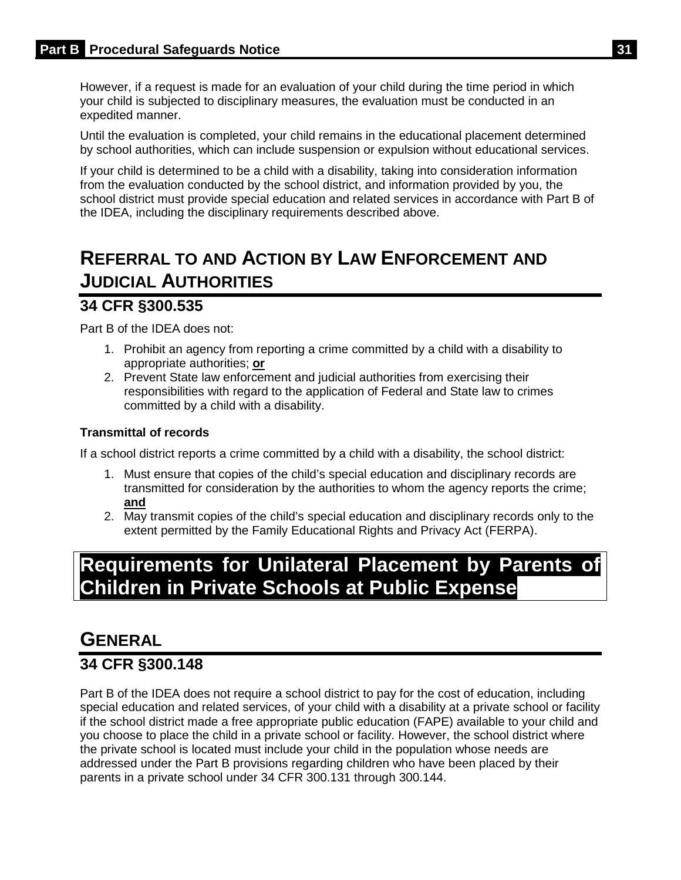However, if a request is made for an evaluation of your child during the time period in which your child is subjected to disciplinary measures, the evaluation must be conducted in an expedited manner.

Until the evaluation is completed, your child remains in the educational placement determined by school authorities, which can include suspension or expulsion without educational services.

If your child is determined to be a child with a disability, taking into consideration information from the evaluation conducted by the school district, and information provided by you, the school district must provide special education and related services in accordance with Part B of the IDEA, including the disciplinary requirements described above.

# <span id="page-32-0"></span>**REFERRAL TO AND ACTION BY LAW ENFORCEMENT AND JUDICIAL AUTHORITIES**

## **34 CFR §300.535**

Part B of the IDEA does not:

- 1. Prohibit an agency from reporting a crime committed by a child with a disability to appropriate authorities; **or**
- 2. Prevent State law enforcement and judicial authorities from exercising their responsibilities with regard to the application of Federal and State law to crimes committed by a child with a disability.

## **Transmittal of records**

If a school district reports a crime committed by a child with a disability, the school district:

- 1. Must ensure that copies of the child's special education and disciplinary records are transmitted for consideration by the authorities to whom the agency reports the crime; **and**
- 2. May transmit copies of the child's special education and disciplinary records only to the extent permitted by the Family Educational Rights and Privacy Act (FERPA).

# <span id="page-32-1"></span>**Requirements for Unilateral Placement by Parents of Children in Private Schools at Public Expense**

# <span id="page-32-2"></span>**GENERAL**

## **34 CFR §300.148**

Part B of the IDEA does not require a school district to pay for the cost of education, including special education and related services, of your child with a disability at a private school or facility if the school district made a free appropriate public education (FAPE) available to your child and you choose to place the child in a private school or facility. However, the school district where the private school is located must include your child in the population whose needs are addressed under the Part B provisions regarding children who have been placed by their parents in a private school under 34 CFR 300.131 through 300.144.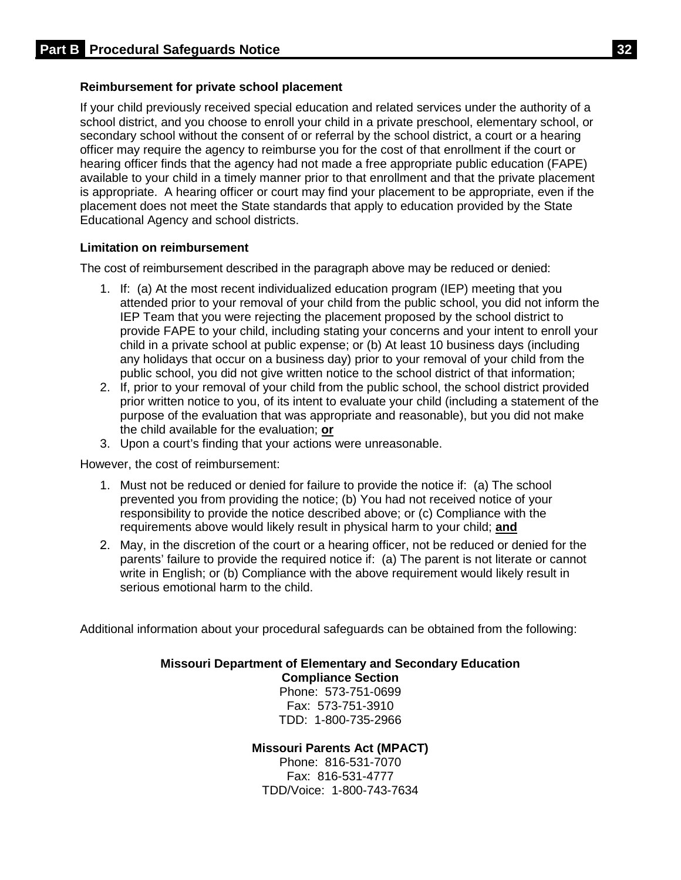#### **Reimbursement for private school placement**

If your child previously received special education and related services under the authority of a school district, and you choose to enroll your child in a private preschool, elementary school, or secondary school without the consent of or referral by the school district, a court or a hearing officer may require the agency to reimburse you for the cost of that enrollment if the court or hearing officer finds that the agency had not made a free appropriate public education (FAPE) available to your child in a timely manner prior to that enrollment and that the private placement is appropriate. A hearing officer or court may find your placement to be appropriate, even if the placement does not meet the State standards that apply to education provided by the State Educational Agency and school districts.

#### **Limitation on reimbursement**

The cost of reimbursement described in the paragraph above may be reduced or denied:

- 1. If: (a) At the most recent individualized education program (IEP) meeting that you attended prior to your removal of your child from the public school, you did not inform the IEP Team that you were rejecting the placement proposed by the school district to provide FAPE to your child, including stating your concerns and your intent to enroll your child in a private school at public expense; or (b) At least 10 business days (including any holidays that occur on a business day) prior to your removal of your child from the public school, you did not give written notice to the school district of that information;
- 2. If, prior to your removal of your child from the public school, the school district provided prior written notice to you, of its intent to evaluate your child (including a statement of the purpose of the evaluation that was appropriate and reasonable), but you did not make the child available for the evaluation; **or**
- 3. Upon a court's finding that your actions were unreasonable.

However, the cost of reimbursement:

- 1. Must not be reduced or denied for failure to provide the notice if: (a) The school prevented you from providing the notice; (b) You had not received notice of your responsibility to provide the notice described above; or (c) Compliance with the requirements above would likely result in physical harm to your child; **and**
- 2. May, in the discretion of the court or a hearing officer, not be reduced or denied for the parents' failure to provide the required notice if: (a) The parent is not literate or cannot write in English; or (b) Compliance with the above requirement would likely result in serious emotional harm to the child.

Additional information about your procedural safeguards can be obtained from the following:

#### **Missouri Department of Elementary and Secondary Education Compliance Section**

Phone: 573-751-0699 Fax: 573-751-3910 TDD: 1-800-735-2966

#### **Missouri Parents Act (MPACT)**

Phone: 816-531-7070 Fax: 816-531-4777 TDD/Voice: 1-800-743-7634